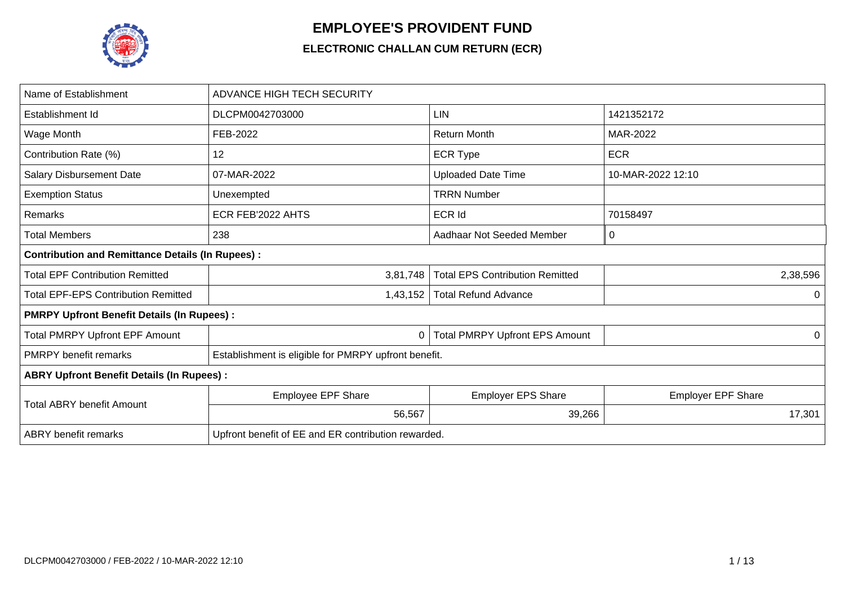

## **EMPLOYEE'S PROVIDENT FUND**

## **ELECTRONIC CHALLAN CUM RETURN (ECR)**

| Name of Establishment                                   | <b>ADVANCE HIGH TECH SECURITY</b>                    |                                        |                           |
|---------------------------------------------------------|------------------------------------------------------|----------------------------------------|---------------------------|
| Establishment Id                                        | DLCPM0042703000                                      | LIN                                    | 1421352172                |
| Wage Month                                              | FEB-2022                                             | <b>Return Month</b>                    | MAR-2022                  |
| Contribution Rate (%)                                   | 12                                                   | <b>ECR Type</b>                        | <b>ECR</b>                |
| <b>Salary Disbursement Date</b>                         | 07-MAR-2022                                          | <b>Uploaded Date Time</b>              | 10-MAR-2022 12:10         |
| <b>Exemption Status</b>                                 | Unexempted                                           | <b>TRRN Number</b>                     |                           |
| Remarks                                                 | ECR FEB'2022 AHTS                                    | ECR Id                                 | 70158497                  |
| <b>Total Members</b>                                    | 238                                                  | Aadhaar Not Seeded Member              | 0                         |
| <b>Contribution and Remittance Details (In Rupees):</b> |                                                      |                                        |                           |
| <b>Total EPF Contribution Remitted</b>                  | 3,81,748                                             | <b>Total EPS Contribution Remitted</b> | 2,38,596                  |
| <b>Total EPF-EPS Contribution Remitted</b>              | 1,43,152                                             | <b>Total Refund Advance</b>            | $\Omega$                  |
| <b>PMRPY Upfront Benefit Details (In Rupees):</b>       |                                                      |                                        |                           |
| <b>Total PMRPY Upfront EPF Amount</b>                   | 0                                                    | <b>Total PMRPY Upfront EPS Amount</b>  | 0                         |
| <b>PMRPY benefit remarks</b>                            | Establishment is eligible for PMRPY upfront benefit. |                                        |                           |
| <b>ABRY Upfront Benefit Details (In Rupees):</b>        |                                                      |                                        |                           |
| <b>Total ABRY benefit Amount</b>                        | <b>Employee EPF Share</b>                            | <b>Employer EPS Share</b>              | <b>Employer EPF Share</b> |
|                                                         | 56,567                                               | 39,266                                 | 17,301                    |
| <b>ABRY</b> benefit remarks                             | Upfront benefit of EE and ER contribution rewarded.  |                                        |                           |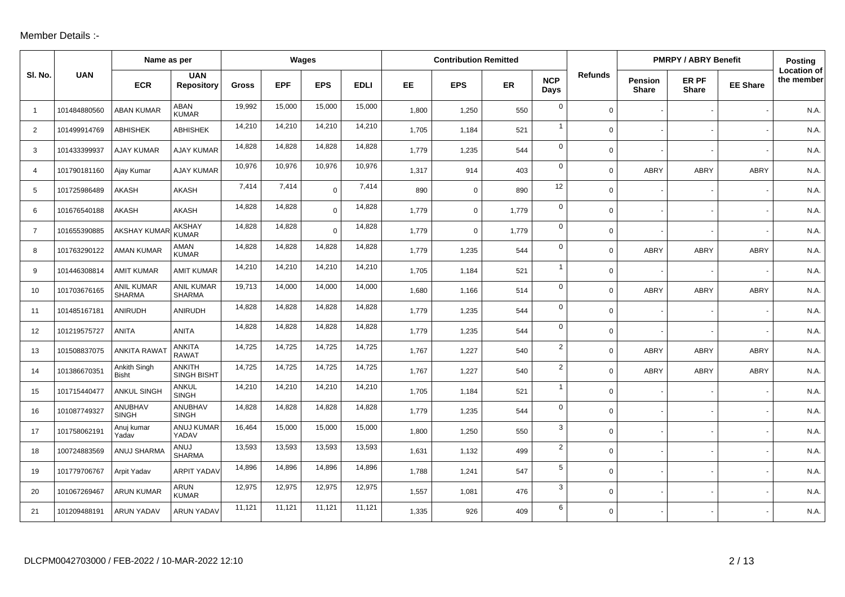## Member Details :-

|                |              | Name as per                        |                                     |              |            | Wages       |             |       | <b>Contribution Remitted</b> |       |                    |                |                         | <b>PMRPY / ABRY Benefit</b> |                 | Posting                          |
|----------------|--------------|------------------------------------|-------------------------------------|--------------|------------|-------------|-------------|-------|------------------------------|-------|--------------------|----------------|-------------------------|-----------------------------|-----------------|----------------------------------|
| SI. No.        | <b>UAN</b>   | <b>ECR</b>                         | <b>UAN</b><br>Repository            | <b>Gross</b> | <b>EPF</b> | <b>EPS</b>  | <b>EDLI</b> | EE    | <b>EPS</b>                   | ER    | <b>NCP</b><br>Days | <b>Refunds</b> | Pension<br><b>Share</b> | ER PF<br><b>Share</b>       | <b>EE Share</b> | <b>Location of</b><br>the member |
| $\overline{1}$ | 101484880560 | <b>ABAN KUMAR</b>                  | ABAN<br><b>KUMAR</b>                | 19,992       | 15,000     | 15,000      | 15,000      | 1,800 | 1,250                        | 550   | $\mathbf 0$        | $\mathbf 0$    |                         |                             |                 | N.A.                             |
| 2              | 101499914769 | <b>ABHISHEK</b>                    | <b>ABHISHEK</b>                     | 14,210       | 14,210     | 14,210      | 14,210      | 1,705 | 1,184                        | 521   | $\mathbf{1}$       | 0              |                         |                             |                 | N.A.                             |
| 3              | 101433399937 | <b>AJAY KUMAR</b>                  | <b>AJAY KUMAR</b>                   | 14,828       | 14,828     | 14,828      | 14,828      | 1,779 | 1,235                        | 544   | $\mathbf{0}$       | 0              |                         |                             |                 | N.A                              |
| 4              | 101790181160 | Ajay Kumar                         | <b>AJAY KUMAR</b>                   | 10,976       | 10,976     | 10,976      | 10,976      | 1,317 | 914                          | 403   | $\mathbf 0$        | $\Omega$       | <b>ABRY</b>             | ABRY                        | ABRY            | N.A.                             |
| 5              | 101725986489 | AKASH                              | AKASH                               | 7,414        | 7,414      | $\mathbf 0$ | 7,414       | 890   | $\mathbf 0$                  | 890   | 12                 | $\Omega$       |                         |                             |                 | N.A.                             |
| 6              | 101676540188 | <b>AKASH</b>                       | <b>AKASH</b>                        | 14,828       | 14,828     | $\Omega$    | 14,828      | 1,779 | $\mathbf 0$                  | 1,779 | $\mathbf 0$        | $\Omega$       |                         |                             |                 | N.A.                             |
| $\overline{7}$ | 101655390885 | <b>AKSHAY KUMAR</b>                | <b>AKSHAY</b><br><b>KUMAR</b>       | 14,828       | 14,828     | $\Omega$    | 14,828      | 1,779 | $\mathbf 0$                  | 1,779 | $\mathbf{0}$       | $\Omega$       |                         |                             |                 | N.A.                             |
| 8              | 101763290122 | <b>AMAN KUMAR</b>                  | AMAN<br><b>KUMAR</b>                | 14,828       | 14,828     | 14,828      | 14,828      | 1.779 | 1,235                        | 544   | $\mathbf 0$        | $\Omega$       | <b>ABRY</b>             | <b>ABRY</b>                 | <b>ABRY</b>     | N.A.                             |
| 9              | 101446308814 | <b>AMIT KUMAR</b>                  | <b>AMIT KUMAR</b>                   | 14,210       | 14,210     | 14,210      | 14,210      | 1,705 | 1,184                        | 521   | $\overline{1}$     | $\mathbf 0$    |                         |                             |                 | N.A.                             |
| 10             | 101703676165 | <b>ANIL KUMAR</b><br><b>SHARMA</b> | <b>ANIL KUMAR</b><br><b>SHARMA</b>  | 19,713       | 14,000     | 14,000      | 14,000      | 1,680 | 1,166                        | 514   | $\mathbf 0$        | 0              | <b>ABRY</b>             | ABRY                        | ABRY            | N.A.                             |
| 11             | 101485167181 | ANIRUDH                            | <b>ANIRUDH</b>                      | 14,828       | 14,828     | 14,828      | 14,828      | 1,779 | 1,235                        | 544   | $\mathbf 0$        | $\Omega$       |                         |                             |                 | N.A.                             |
| 12             | 101219575727 | <b>ANITA</b>                       | <b>ANITA</b>                        | 14,828       | 14,828     | 14,828      | 14,828      | 1,779 | 1,235                        | 544   | $\mathbf 0$        | 0              |                         |                             |                 | N.A.                             |
| 13             | 101508837075 | <b>ANKITA RAWA</b>                 | <b>ANKITA</b><br><b>RAWAT</b>       | 14,725       | 14,725     | 14,725      | 14,725      | 1,767 | 1,227                        | 540   | $\overline{2}$     | $\Omega$       | <b>ABRY</b>             | <b>ABRY</b>                 | <b>ABRY</b>     | N.A.                             |
| 14             | 101386670351 | Ankith Singh<br><b>Bisht</b>       | <b>ANKITH</b><br><b>SINGH BISHT</b> | 14,725       | 14,725     | 14,725      | 14,725      | 1,767 | 1,227                        | 540   | $\overline{2}$     | $\mathbf 0$    | <b>ABRY</b>             | ABRY                        | <b>ABRY</b>     | N.A.                             |
| 15             | 101715440477 | <b>ANKUL SINGH</b>                 | ANKUL<br><b>SINGH</b>               | 14,210       | 14,210     | 14,210      | 14,210      | 1,705 | 1,184                        | 521   | $\mathbf{1}$       | $\overline{0}$ |                         |                             |                 | N.A.                             |
| 16             | 101087749327 | <b>ANUBHAV</b><br><b>SINGH</b>     | <b>ANUBHAV</b><br><b>SINGH</b>      | 14,828       | 14,828     | 14,828      | 14,828      | 1,779 | 1,235                        | 544   | $\mathbf{0}$       | 0              |                         |                             |                 | N.A.                             |
| 17             | 101758062191 | Anuj kumar<br>Yadav                | ANUJ KUMAR<br>YADAV                 | 16,464       | 15,000     | 15,000      | 15,000      | 1,800 | 1,250                        | 550   | 3                  | $\Omega$       |                         |                             |                 | N.A.                             |
| 18             | 100724883569 | ANUJ SHARMA                        | ANUJ<br><b>SHARMA</b>               | 13,593       | 13,593     | 13,593      | 13,593      | 1,631 | 1,132                        | 499   | $\overline{2}$     | 0              |                         |                             |                 | N.A.                             |
| 19             | 101779706767 | Arpit Yadav                        | <b>ARPIT YADAV</b>                  | 14,896       | 14,896     | 14,896      | 14,896      | 1,788 | 1,241                        | 547   | 5                  | 0              |                         |                             |                 | N.A.                             |
| 20             | 101067269467 | <b>ARUN KUMAR</b>                  | ARUN<br><b>KUMAR</b>                | 12,975       | 12,975     | 12,975      | 12,975      | 1,557 | 1,081                        | 476   | 3                  | 0              |                         |                             |                 | N.A                              |
| 21             | 101209488191 | <b>ARUN YADAV</b>                  | <b>ARUN YADAV</b>                   | 11,121       | 11,121     | 11,121      | 11,121      | 1,335 | 926                          | 409   | 6                  | $\Omega$       |                         |                             |                 | N.A.                             |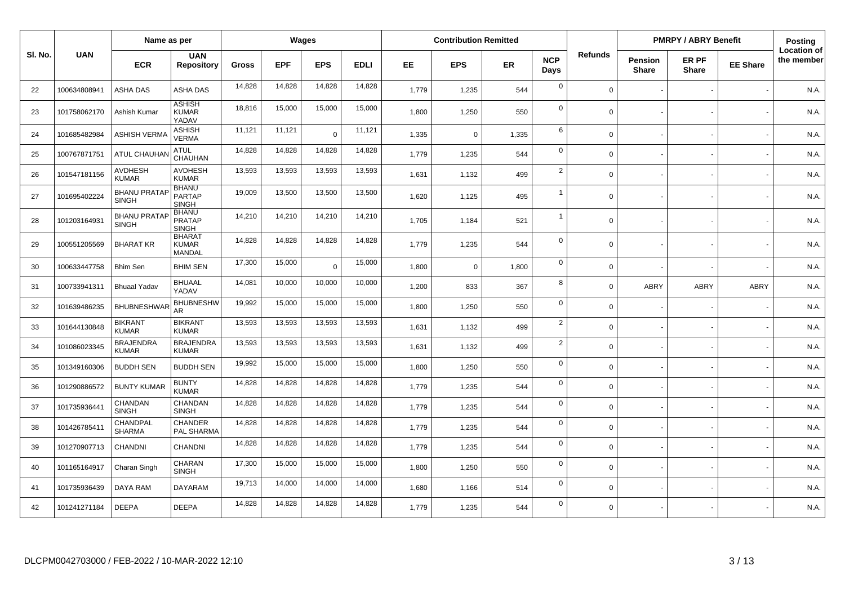|         |              | Name as per                         |                                               |              |            | Wages          |             |       | <b>Contribution Remitted</b> |       |                    |                |                                | <b>PMRPY / ABRY Benefit</b> |                 | Posting                          |
|---------|--------------|-------------------------------------|-----------------------------------------------|--------------|------------|----------------|-------------|-------|------------------------------|-------|--------------------|----------------|--------------------------------|-----------------------------|-----------------|----------------------------------|
| SI. No. | <b>UAN</b>   | <b>ECR</b>                          | <b>UAN</b><br><b>Repository</b>               | <b>Gross</b> | <b>EPF</b> | <b>EPS</b>     | <b>EDLI</b> | EE.   | <b>EPS</b>                   | ER    | <b>NCP</b><br>Days | <b>Refunds</b> | <b>Pension</b><br><b>Share</b> | ER PF<br><b>Share</b>       | <b>EE Share</b> | <b>Location of</b><br>the member |
| 22      | 100634808941 | ASHA DAS                            | ASHA DAS                                      | 14,828       | 14,828     | 14,828         | 14,828      | 1,779 | 1,235                        | 544   | $\mathbf 0$        | $\Omega$       |                                |                             |                 | N.A.                             |
| 23      | 101758062170 | Ashish Kumar                        | <b>ASHISH</b><br><b>KUMAR</b><br>YADAV        | 18,816       | 15,000     | 15,000         | 15,000      | 1,800 | 1,250                        | 550   | $\mathbf 0$        | $\Omega$       |                                |                             |                 | N.A.                             |
| 24      | 101685482984 | <b>ASHISH VERMA</b>                 | <b>ASHISH</b><br>VERMA                        | 11,121       | 11,121     | $\Omega$       | 11,121      | 1.335 | $\Omega$                     | 1,335 | 6                  | $\Omega$       |                                |                             |                 | N.A.                             |
| 25      | 100767871751 | <b>ATUL CHAUHAI</b>                 | <b>ATUL</b><br>CHAUHAN                        | 14,828       | 14,828     | 14,828         | 14,828      | 1,779 | 1,235                        | 544   | $\mathbf 0$        | $\Omega$       |                                |                             |                 | N.A.                             |
| 26      | 101547181156 | <b>AVDHESH</b><br><b>KUMAR</b>      | <b>AVDHESH</b><br><b>KUMAR</b>                | 13,593       | 13,593     | 13,593         | 13,593      | 1,631 | 1,132                        | 499   | $\overline{2}$     | $\Omega$       |                                |                             |                 | N.A.                             |
| 27      | 101695402224 | <b>BHANU PRATAP</b><br><b>SINGH</b> | <b>BHANU</b><br><b>PARTAP</b><br><b>SINGH</b> | 19,009       | 13,500     | 13,500         | 13,500      | 1.620 | 1,125                        | 495   | $\overline{1}$     | $\Omega$       |                                |                             |                 | N.A.                             |
| 28      | 101203164931 | <b>BHANU PRATAI</b><br><b>SINGH</b> | <b>BHANU</b><br><b>PRATAP</b><br><b>SINGH</b> | 14,210       | 14,210     | 14,210         | 14,210      | 1,705 | 1,184                        | 521   | $\overline{1}$     | $\Omega$       |                                |                             |                 | N.A.                             |
| 29      | 100551205569 | <b>BHARAT KR</b>                    | <b>BHARAT</b><br><b>KUMAR</b><br>MANDAL       | 14,828       | 14,828     | 14,828         | 14,828      | 1,779 | 1,235                        | 544   | $\mathbf 0$        | $\mathbf 0$    |                                |                             |                 | N.A.                             |
| 30      | 100633447758 | <b>Bhim Sen</b>                     | <b>BHIM SEN</b>                               | 17,300       | 15,000     | $\overline{0}$ | 15,000      | 1.800 | $\mathbf 0$                  | 1,800 | $\mathbf 0$        | $\Omega$       |                                |                             |                 | N.A.                             |
| 31      | 100733941311 | <b>Bhuaal Yadav</b>                 | <b>BHUAAL</b><br>YADAV                        | 14,081       | 10,000     | 10,000         | 10,000      | 1,200 | 833                          | 367   | 8                  | $\Omega$       | ABRY                           | <b>ABRY</b>                 | <b>ABRY</b>     | N.A.                             |
| 32      | 101639486235 | <b>BHUBNESHWA</b>                   | <b>BHUBNESHW</b><br>AR                        | 19,992       | 15,000     | 15,000         | 15,000      | 1,800 | 1,250                        | 550   | $\mathbf 0$        | $\mathbf 0$    |                                |                             |                 | N.A.                             |
| 33      | 101644130848 | <b>BIKRANT</b><br><b>KUMAR</b>      | <b>BIKRANT</b><br><b>KUMAR</b>                | 13,593       | 13,593     | 13,593         | 13,593      | 1,631 | 1,132                        | 499   | $\overline{2}$     | $\mathbf 0$    |                                |                             |                 | N.A.                             |
| 34      | 101086023345 | <b>BRAJENDRA</b><br><b>KUMAR</b>    | <b>BRAJENDRA</b><br><b>KUMAR</b>              | 13,593       | 13,593     | 13,593         | 13,593      | 1,631 | 1,132                        | 499   | 2                  | $\Omega$       |                                |                             |                 | N.A.                             |
| 35      | 101349160306 | <b>BUDDH SEN</b>                    | <b>BUDDH SEN</b>                              | 19,992       | 15.000     | 15,000         | 15,000      | 1.800 | 1,250                        | 550   | $\mathbf 0$        | $\Omega$       |                                |                             |                 | N.A.                             |
| 36      | 101290886572 | <b>BUNTY KUMAR</b>                  | <b>BUNTY</b><br><b>KUMAR</b>                  | 14,828       | 14,828     | 14,828         | 14,828      | 1,779 | 1,235                        | 544   | $\mathbf 0$        | $\Omega$       |                                |                             |                 | N.A.                             |
| 37      | 101735936441 | CHANDAN<br><b>SINGH</b>             | CHANDAN<br><b>SINGH</b>                       | 14,828       | 14,828     | 14,828         | 14,828      | 1,779 | 1,235                        | 544   | $\mathbf 0$        | $\mathbf 0$    |                                |                             |                 | N.A.                             |
| 38      | 101426785411 | CHANDPAL<br><b>SHARMA</b>           | <b>CHANDER</b><br>PAL SHARMA                  | 14,828       | 14,828     | 14,828         | 14,828      | 1,779 | 1,235                        | 544   | $\mathbf 0$        | $\Omega$       |                                |                             |                 | N.A.                             |
| 39      | 101270907713 | CHANDNI                             | CHANDNI                                       | 14,828       | 14,828     | 14,828         | 14,828      | 1,779 | 1,235                        | 544   | $\mathbf 0$        | $\Omega$       |                                |                             |                 | N.A.                             |
| 40      | 101165164917 | Charan Singh                        | CHARAN<br><b>SINGH</b>                        | 17,300       | 15,000     | 15,000         | 15,000      | 1,800 | 1,250                        | 550   | $\mathbf 0$        | $\Omega$       |                                |                             |                 | N.A.                             |
| 41      | 101735936439 | DAYA RAM                            | <b>DAYARAM</b>                                | 19,713       | 14,000     | 14,000         | 14,000      | 1,680 | 1,166                        | 514   | $\mathbf 0$        | $\Omega$       |                                |                             |                 | N.A.                             |
| 42      | 101241271184 | <b>DEEPA</b>                        | DEEPA                                         | 14,828       | 14,828     | 14,828         | 14,828      | 1,779 | 1,235                        | 544   | $\mathbf 0$        | $\Omega$       |                                |                             |                 | N.A.                             |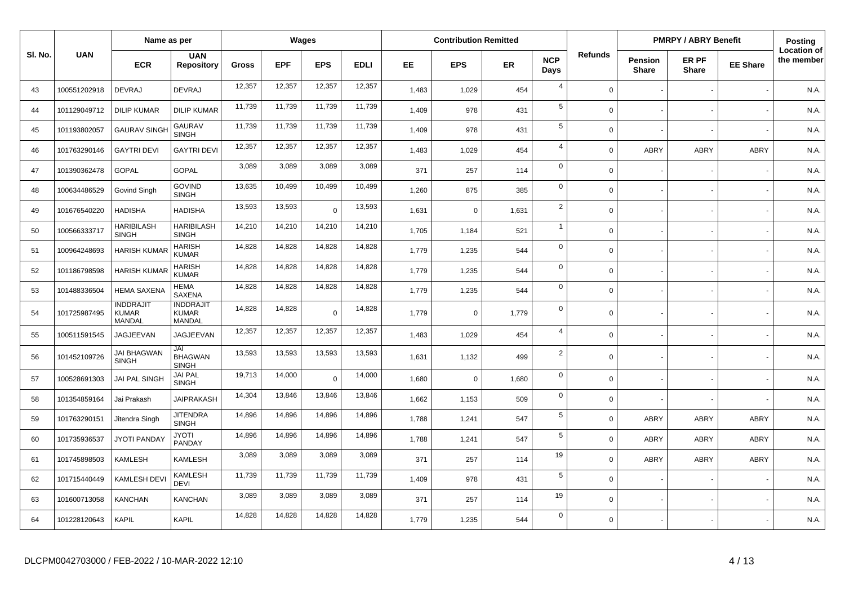|         | Name as per  |                                            |                                            |              | Wages      |            |             | <b>Contribution Remitted</b> |             |       |                    |                | <b>PMRPY / ABRY Benefit</b>    |                       | Posting         |                                  |
|---------|--------------|--------------------------------------------|--------------------------------------------|--------------|------------|------------|-------------|------------------------------|-------------|-------|--------------------|----------------|--------------------------------|-----------------------|-----------------|----------------------------------|
| SI. No. | <b>UAN</b>   | <b>ECR</b>                                 | <b>UAN</b><br><b>Repository</b>            | <b>Gross</b> | <b>EPF</b> | <b>EPS</b> | <b>EDLI</b> | EE.                          | <b>EPS</b>  | ER    | <b>NCP</b><br>Days | <b>Refunds</b> | <b>Pension</b><br><b>Share</b> | ER PF<br><b>Share</b> | <b>EE Share</b> | <b>Location of</b><br>the member |
| 43      | 100551202918 | <b>DEVRAJ</b>                              | <b>DEVRAJ</b>                              | 12,357       | 12,357     | 12,357     | 12,357      | 1,483                        | 1,029       | 454   | $\overline{4}$     | $\Omega$       |                                |                       |                 | N.A.                             |
| 44      | 101129049712 | <b>DILIP KUMAR</b>                         | <b>DILIP KUMAR</b>                         | 11,739       | 11,739     | 11,739     | 11,739      | 1,409                        | 978         | 431   | 5                  | $\Omega$       |                                |                       |                 | N.A.                             |
| 45      | 101193802057 | <b>GAURAV SINGH</b>                        | <b>GAURAV</b><br><b>SINGH</b>              | 11,739       | 11,739     | 11,739     | 11,739      | 1,409                        | 978         | 431   | $\sqrt{5}$         | $\Omega$       |                                |                       |                 | N.A.                             |
| 46      | 101763290146 | <b>GAYTRI DEVI</b>                         | <b>GAYTRI DEVI</b>                         | 12,357       | 12,357     | 12,357     | 12,357      | 1,483                        | 1,029       | 454   | $\overline{4}$     | $\Omega$       | ABRY                           | ABRY                  | <b>ABRY</b>     | N.A.                             |
| 47      | 101390362478 | <b>GOPAL</b>                               | <b>GOPAL</b>                               | 3,089        | 3,089      | 3,089      | 3,089       | 371                          | 257         | 114   | $\mathbf 0$        | $\Omega$       |                                |                       |                 | N.A.                             |
| 48      | 100634486529 | Govind Singh                               | <b>GOVIND</b><br><b>SINGH</b>              | 13,635       | 10,499     | 10,499     | 10,499      | 1,260                        | 875         | 385   | $\mathbf 0$        | $\Omega$       |                                |                       |                 | N.A.                             |
| 49      | 101676540220 | <b>HADISHA</b>                             | <b>HADISHA</b>                             | 13,593       | 13,593     | $\Omega$   | 13,593      | 1,631                        | $\mathbf 0$ | 1,631 | $\overline{2}$     | $\mathbf 0$    |                                |                       |                 | N.A.                             |
| 50      | 100566333717 | <b>HARIBILASH</b><br><b>SINGH</b>          | <b>HARIBILASH</b><br><b>SINGH</b>          | 14,210       | 14,210     | 14,210     | 14,210      | 1,705                        | 1,184       | 521   | $\overline{1}$     | $\Omega$       |                                |                       |                 | N.A.                             |
| 51      | 100964248693 | <b>HARISH KUMAR</b>                        | <b>HARISH</b><br><b>KUMAR</b>              | 14,828       | 14,828     | 14,828     | 14,828      | 1,779                        | 1,235       | 544   | $\mathbf 0$        | $\Omega$       |                                |                       |                 | N.A.                             |
| 52      | 101186798598 | <b>HARISH KUMAF</b>                        | <b>HARISH</b><br><b>KUMAR</b>              | 14,828       | 14,828     | 14,828     | 14,828      | 1,779                        | 1,235       | 544   | $\mathbf 0$        | $\Omega$       |                                |                       |                 | N.A.                             |
| 53      | 101488336504 | HEMA SAXENA                                | <b>HEMA</b><br><b>SAXENA</b>               | 14,828       | 14,828     | 14,828     | 14,828      | 1,779                        | 1,235       | 544   | $\mathbf 0$        | $\Omega$       |                                |                       |                 | N.A.                             |
| 54      | 101725987495 | <b>INDDRAJIT</b><br><b>KUMAR</b><br>MANDAL | <b>INDDRAJIT</b><br><b>KUMAR</b><br>MANDAL | 14,828       | 14,828     | $\Omega$   | 14,828      | 1,779                        | $\mathbf 0$ | 1,779 | $\mathbf 0$        | $\Omega$       |                                |                       |                 | N.A.                             |
| 55      | 100511591545 | <b>JAGJEEVAN</b>                           | JAGJEEVAN                                  | 12,357       | 12,357     | 12,357     | 12,357      | 1,483                        | 1,029       | 454   | $\overline{4}$     | $\Omega$       |                                |                       |                 | N.A.                             |
| 56      | 101452109726 | <b>JAI BHAGWAN</b><br><b>SINGH</b>         | JAI<br><b>BHAGWAN</b><br><b>SINGH</b>      | 13,593       | 13,593     | 13,593     | 13,593      | 1,631                        | 1,132       | 499   | $\overline{2}$     | $\Omega$       |                                |                       |                 | N.A.                             |
| 57      | 100528691303 | <b>JAI PAL SINGH</b>                       | <b>JAI PAL</b><br><b>SINGH</b>             | 19,713       | 14,000     | $\Omega$   | 14,000      | 1.680                        | $\mathbf 0$ | 1,680 | $\mathbf 0$        | $\Omega$       |                                |                       |                 | N.A.                             |
| 58      | 101354859164 | Jai Prakash                                | <b>JAIPRAKASH</b>                          | 14,304       | 13,846     | 13,846     | 13,846      | 1,662                        | 1,153       | 509   | $\mathbf 0$        | $\mathbf 0$    |                                |                       |                 | N.A.                             |
| 59      | 101763290151 | Jitendra Singh                             | <b>JITENDRA</b><br><b>SINGH</b>            | 14,896       | 14,896     | 14,896     | 14,896      | 1,788                        | 1,241       | 547   | $\sqrt{5}$         | $\Omega$       | ABRY                           | <b>ABRY</b>           | <b>ABRY</b>     | N.A.                             |
| 60      | 101735936537 | <b>JYOTI PANDAY</b>                        | <b>JYOTI</b><br>PANDAY                     | 14,896       | 14,896     | 14,896     | 14,896      | 1,788                        | 1,241       | 547   | $\sqrt{5}$         | $\mathbf 0$    | ABRY                           | <b>ABRY</b>           | ABRY            | N.A.                             |
| 61      | 101745898503 | <b>KAMLESH</b>                             | KAMLESH                                    | 3,089        | 3,089      | 3,089      | 3,089       | 371                          | 257         | 114   | 19                 | $\Omega$       | <b>ABRY</b>                    | <b>ABRY</b>           | <b>ABRY</b>     | N.A.                             |
| 62      | 101715440449 | KAMLESH DEVI                               | <b>KAMLESH</b><br>DEVI                     | 11,739       | 11,739     | 11,739     | 11,739      | 1,409                        | 978         | 431   | $5\phantom{.0}$    | $\Omega$       |                                |                       |                 | N.A.                             |
| 63      | 101600713058 | <b>KANCHAN</b>                             | KANCHAN                                    | 3,089        | 3,089      | 3,089      | 3,089       | 371                          | 257         | 114   | 19                 | $\Omega$       |                                |                       |                 | N.A.                             |
| 64      | 101228120643 | <b>KAPIL</b>                               | <b>KAPIL</b>                               | 14,828       | 14,828     | 14,828     | 14,828      | 1.779                        | 1,235       | 544   | $\mathbf 0$        | $\Omega$       |                                |                       |                 | N.A.                             |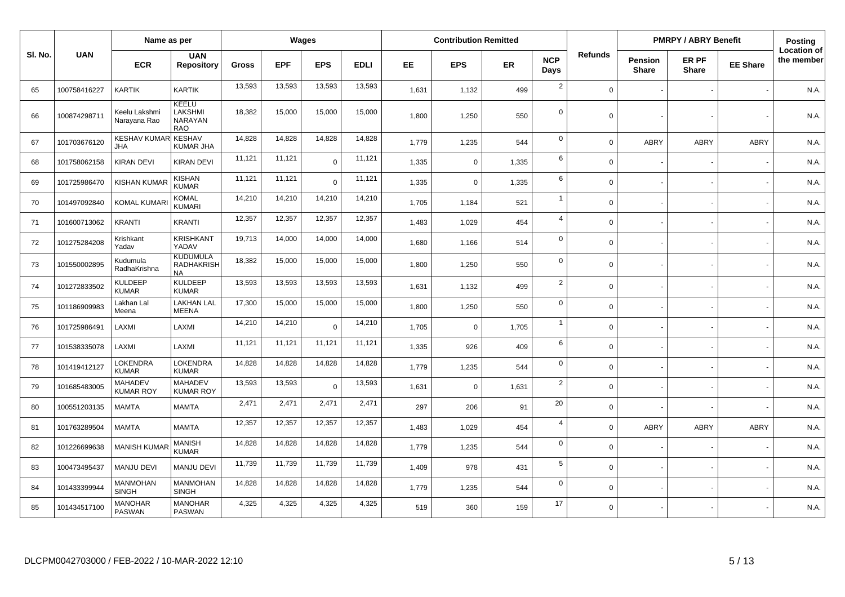|         | Name as per  |                                    |                                            |              | <b>Wages</b> |                |             | <b>Contribution Remitted</b> |             |           |                    |                | <b>PMRPY / ABRY Benefit</b>    |                       | Posting         |                                  |
|---------|--------------|------------------------------------|--------------------------------------------|--------------|--------------|----------------|-------------|------------------------------|-------------|-----------|--------------------|----------------|--------------------------------|-----------------------|-----------------|----------------------------------|
| SI. No. | <b>UAN</b>   | <b>ECR</b>                         | <b>UAN</b><br><b>Repository</b>            | <b>Gross</b> | <b>EPF</b>   | <b>EPS</b>     | <b>EDLI</b> | EE.                          | <b>EPS</b>  | <b>ER</b> | <b>NCP</b><br>Days | <b>Refunds</b> | <b>Pension</b><br><b>Share</b> | ER PF<br><b>Share</b> | <b>EE Share</b> | <b>Location of</b><br>the member |
| 65      | 100758416227 | <b>KARTIK</b>                      | <b>KARTIK</b>                              | 13,593       | 13,593       | 13,593         | 13,593      | 1,631                        | 1,132       | 499       | $\overline{2}$     | $\Omega$       |                                |                       |                 | N.A.                             |
| 66      | 100874298711 | Keelu Lakshmi<br>Narayana Rao      | KEELU<br>LAKSHMI<br>NARAYAN<br>RAO         | 18,382       | 15,000       | 15,000         | 15,000      | 1,800                        | 1,250       | 550       | $\mathbf 0$        | $\Omega$       |                                |                       |                 | N.A.                             |
| 67      | 101703676120 | <b>KESHAV KUMAR</b><br><b>JHA</b>  | <b>KESHAV</b><br>KUMAR JHA                 | 14,828       | 14,828       | 14,828         | 14,828      | 1,779                        | 1,235       | 544       | $\mathbf 0$        | $\Omega$       | <b>ABRY</b>                    | <b>ABRY</b>           | ABRY            | N.A.                             |
| 68      | 101758062158 | KIRAN DEVI                         | KIRAN DEVI                                 | 11,121       | 11,121       | $\overline{0}$ | 11,121      | 1,335                        | 0           | 1,335     | 6                  | $\Omega$       |                                |                       |                 | N.A.                             |
| 69      | 101725986470 | <b>KISHAN KUMAR</b>                | <b>KISHAN</b><br><b>KUMAR</b>              | 11,121       | 11,121       | $\Omega$       | 11,121      | 1,335                        | $\mathbf 0$ | 1,335     | 6                  | $\Omega$       |                                |                       |                 | N.A.                             |
| 70      | 101497092840 | <b>KOMAL KUMAR</b>                 | <b>KOMAL</b><br><b>KUMARI</b>              | 14,210       | 14,210       | 14,210         | 14,210      | 1,705                        | 1,184       | 521       | $\overline{1}$     | $\Omega$       |                                |                       |                 | N.A.                             |
| 71      | 101600713062 | <b>KRANTI</b>                      | <b>KRANTI</b>                              | 12,357       | 12,357       | 12,357         | 12,357      | 1,483                        | 1,029       | 454       | $\overline{4}$     | $\mathbf 0$    |                                |                       |                 | N.A.                             |
| 72      | 101275284208 | Krishkant<br>Yadav                 | <b>KRISHKANT</b><br>YADAV                  | 19,713       | 14,000       | 14,000         | 14,000      | 1,680                        | 1,166       | 514       | $\mathbf 0$        | $\Omega$       |                                |                       |                 | N.A.                             |
| 73      | 101550002895 | Kudumula<br>RadhaKrishna           | <b>KUDUMULA</b><br>RADHAKRISH<br><b>NA</b> | 18,382       | 15,000       | 15,000         | 15,000      | 1,800                        | 1,250       | 550       | $\mathbf 0$        | $\Omega$       |                                |                       |                 | N.A.                             |
| 74      | 101272833502 | <b>KULDEEP</b><br><b>KUMAR</b>     | <b>KULDEEP</b><br><b>KUMAR</b>             | 13,593       | 13,593       | 13,593         | 13,593      | 1.631                        | 1,132       | 499       | 2                  | $\Omega$       |                                |                       |                 | N.A.                             |
| 75      | 101186909983 | Lakhan Lal<br>Meena                | <b>LAKHAN LAL</b><br><b>MEENA</b>          | 17,300       | 15,000       | 15,000         | 15,000      | 1,800                        | 1,250       | 550       | $\mathbf 0$        | $\Omega$       |                                |                       |                 | N.A.                             |
| 76      | 101725986491 | LAXMI                              | LAXMI                                      | 14,210       | 14,210       | $\Omega$       | 14,210      | 1,705                        | $\mathbf 0$ | 1,705     | $\overline{1}$     | $\Omega$       |                                |                       |                 | N.A.                             |
| 77      | 101538335078 | LAXMI                              | LAXMI                                      | 11,121       | 11,121       | 11,121         | 11,121      | 1,335                        | 926         | 409       | 6                  | $\Omega$       |                                |                       |                 | N.A.                             |
| 78      | 101419412127 | LOKENDRA<br><b>KUMAR</b>           | <b>LOKENDRA</b><br><b>KUMAR</b>            | 14,828       | 14,828       | 14,828         | 14,828      | 1,779                        | 1,235       | 544       | $\mathbf 0$        | $\Omega$       |                                |                       |                 | N.A.                             |
| 79      | 101685483005 | <b>MAHADEV</b><br><b>KUMAR ROY</b> | <b>MAHADEV</b><br><b>KUMAR ROY</b>         | 13,593       | 13,593       | $\Omega$       | 13,593      | 1,631                        | $\mathbf 0$ | 1,631     | $\overline{2}$     | $\Omega$       |                                |                       |                 | N.A.                             |
| 80      | 100551203135 | <b>MAMTA</b>                       | <b>MAMTA</b>                               | 2,471        | 2,471        | 2,471          | 2,471       | 297                          | 206         | 91        | 20                 | $\Omega$       |                                |                       |                 | N.A.                             |
| 81      | 101763289504 | <b>MAMTA</b>                       | <b>MAMTA</b>                               | 12,357       | 12,357       | 12,357         | 12,357      | 1,483                        | 1,029       | 454       | $\overline{4}$     | $\Omega$       | <b>ABRY</b>                    | <b>ABRY</b>           | <b>ABRY</b>     | N.A.                             |
| 82      | 101226699638 | <b>MANISH KUMAI</b>                | MANISH<br><b>KUMAR</b>                     | 14,828       | 14,828       | 14,828         | 14,828      | 1,779                        | 1,235       | 544       | $\mathbf 0$        | $\Omega$       |                                |                       |                 | N.A.                             |
| 83      | 100473495437 | <b>MANJU DEVI</b>                  | <b>MANJU DEVI</b>                          | 11,739       | 11,739       | 11,739         | 11,739      | 1,409                        | 978         | 431       | 5                  | $\Omega$       |                                |                       |                 | N.A.                             |
| 84      | 101433399944 | <b>MANMOHAN</b><br><b>SINGH</b>    | <b>MANMOHAN</b><br><b>SINGH</b>            | 14,828       | 14,828       | 14,828         | 14,828      | 1.779                        | 1,235       | 544       | $\mathbf 0$        | $\Omega$       |                                |                       |                 | N.A.                             |
| 85      | 101434517100 | <b>MANOHAR</b><br><b>PASWAN</b>    | <b>MANOHAR</b><br>PASWAN                   | 4,325        | 4,325        | 4,325          | 4,325       | 519                          | 360         | 159       | 17                 | $\mathbf 0$    |                                |                       |                 | N.A.                             |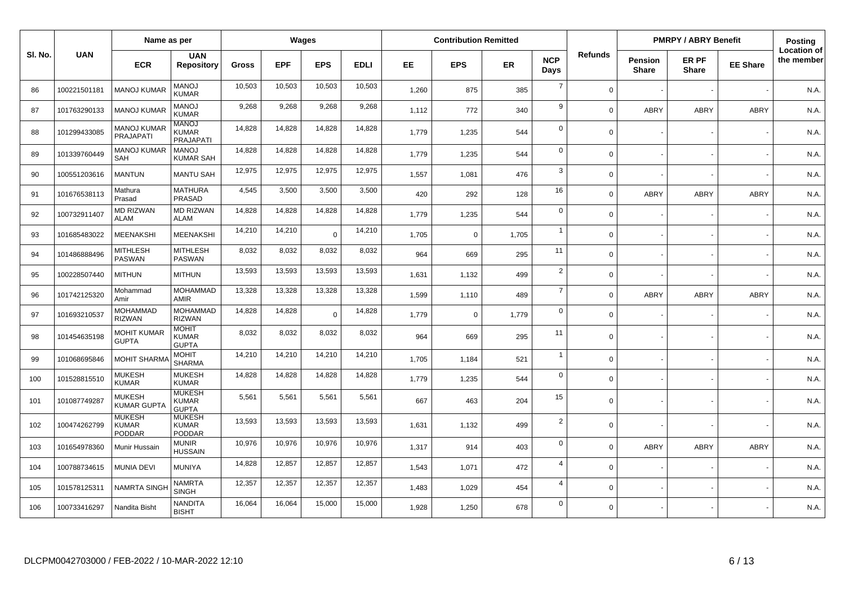|         |              | Name as per                                    |                                                |              |            | Wages      |             |       | <b>Contribution Remitted</b> |           |                    |                |                                | <b>PMRPY / ABRY Benefit</b> |                 | <b>Posting</b>                   |
|---------|--------------|------------------------------------------------|------------------------------------------------|--------------|------------|------------|-------------|-------|------------------------------|-----------|--------------------|----------------|--------------------------------|-----------------------------|-----------------|----------------------------------|
| SI. No. | <b>UAN</b>   | <b>ECR</b>                                     | <b>UAN</b><br><b>Repository</b>                | <b>Gross</b> | <b>EPF</b> | <b>EPS</b> | <b>EDLI</b> | EE    | <b>EPS</b>                   | <b>ER</b> | <b>NCP</b><br>Days | <b>Refunds</b> | <b>Pension</b><br><b>Share</b> | ER PF<br><b>Share</b>       | <b>EE Share</b> | <b>Location of</b><br>the member |
| 86      | 100221501181 | <b>MANOJ KUMAF</b>                             | <b>MANOJ</b><br>KUMAR                          | 10,503       | 10,503     | 10,503     | 10,503      | 1,260 | 875                          | 385       | $\overline{7}$     | $\Omega$       |                                |                             |                 | N.A.                             |
| 87      | 101763290133 | <b>MANOJ KUMAF</b>                             | <b>MANOJ</b><br><b>KUMAR</b>                   | 9,268        | 9.268      | 9,268      | 9,268       | 1,112 | 772                          | 340       | 9                  | $\Omega$       | ABRY                           | <b>ABRY</b>                 | ABRY            | N.A.                             |
| 88      | 101299433085 | MANOJ KUMAR<br>PRAJAPATI                       | <b>MANOJ</b><br>KUMAR<br><b>PRAJAPATI</b>      | 14,828       | 14,828     | 14,828     | 14,828      | 1.779 | 1,235                        | 544       | $\mathbf 0$        | $\Omega$       |                                |                             |                 | N.A.                             |
| 89      | 101339760449 | <b>MANOJ KUMAR</b><br>SAH                      | MANO.<br>KUMAR SAH                             | 14,828       | 14,828     | 14,828     | 14,828      | 1,779 | 1,235                        | 544       | $\mathbf 0$        | $\Omega$       |                                |                             |                 | N.A.                             |
| 90      | 100551203616 | <b>MANTUN</b>                                  | <b>MANTU SAH</b>                               | 12,975       | 12,975     | 12,975     | 12,975      | 1,557 | 1,081                        | 476       | 3                  | $\Omega$       |                                |                             |                 | N.A.                             |
| 91      | 101676538113 | Mathura<br>Prasad                              | <b>MATHURA</b><br>PRASAD                       | 4,545        | 3,500      | 3,500      | 3,500       | 420   | 292                          | 128       | 16                 | $\Omega$       | ABRY                           | <b>ABRY</b>                 | ABRY            | N.A.                             |
| 92      | 100732911407 | <b>MD RIZWAN</b><br><b>ALAM</b>                | <b>MD RIZWAN</b><br><b>ALAM</b>                | 14,828       | 14,828     | 14,828     | 14,828      | 1.779 | 1,235                        | 544       | $\mathbf 0$        | $\Omega$       |                                |                             |                 | N.A.                             |
| 93      | 101685483022 | MEENAKSHI                                      | MEENAKSHI                                      | 14,210       | 14,210     | $\Omega$   | 14,210      | 1,705 | $\mathbf 0$                  | 1,705     | $\overline{1}$     | $\Omega$       |                                |                             |                 | N.A.                             |
| 94      | 101486888496 | MITHLESH<br><b>PASWAN</b>                      | MITHLESH<br><b>PASWAN</b>                      | 8,032        | 8,032      | 8,032      | 8,032       | 964   | 669                          | 295       | 11                 | $\Omega$       |                                |                             |                 | N.A.                             |
| 95      | 100228507440 | <b>MITHUN</b>                                  | <b>MITHUN</b>                                  | 13,593       | 13,593     | 13,593     | 13,593      | 1,631 | 1,132                        | 499       | 2                  | $\Omega$       |                                |                             |                 | N.A.                             |
| 96      | 101742125320 | Mohammad<br>Amir                               | <b>MOHAMMAD</b><br><b>AMIR</b>                 | 13,328       | 13,328     | 13,328     | 13,328      | 1,599 | 1,110                        | 489       | $\overline{7}$     | $\Omega$       | ABRY                           | <b>ABRY</b>                 | <b>ABRY</b>     | N.A.                             |
| 97      | 101693210537 | <b>MOHAMMAD</b><br><b>RIZWAN</b>               | <b>MOHAMMAD</b><br><b>RIZWAN</b>               | 14,828       | 14,828     | $\Omega$   | 14,828      | 1.779 | $\mathbf 0$                  | 1,779     | $\mathbf 0$        | $\Omega$       |                                |                             |                 | N.A.                             |
| 98      | 101454635198 | <b>MOHIT KUMAR</b><br><b>GUPTA</b>             | <b>MOHIT</b><br><b>KUMAR</b><br><b>GUPTA</b>   | 8,032        | 8,032      | 8,032      | 8,032       | 964   | 669                          | 295       | 11                 | $\Omega$       |                                |                             |                 | N.A.                             |
| 99      | 101068695846 | <b>MOHIT SHARM</b>                             | <b>MOHIT</b><br><b>SHARMA</b>                  | 14,210       | 14,210     | 14,210     | 14,210      | 1,705 | 1,184                        | 521       | $\overline{1}$     | $\Omega$       |                                |                             |                 | N.A.                             |
| 100     | 101528815510 | <b>MUKESH</b><br><b>KUMAR</b>                  | <b>MUKESH</b><br><b>KUMAR</b>                  | 14,828       | 14,828     | 14,828     | 14,828      | 1.779 | 1,235                        | 544       | $\mathbf 0$        | $\Omega$       |                                |                             |                 | N.A.                             |
| 101     | 101087749287 | <b>MUKESH</b><br><b>KUMAR GUPT</b>             | <b>MUKESH</b><br><b>KUMAR</b><br><b>GUPTA</b>  | 5,561        | 5,561      | 5,561      | 5,561       | 667   | 463                          | 204       | 15                 | $\Omega$       |                                |                             |                 | N.A.                             |
| 102     | 100474262799 | <b>MUKESH</b><br><b>KUMAR</b><br><b>PODDAR</b> | <b>MUKESH</b><br><b>KUMAR</b><br><b>PODDAR</b> | 13,593       | 13,593     | 13,593     | 13,593      | 1,631 | 1,132                        | 499       | $\overline{2}$     | $\Omega$       |                                |                             |                 | N.A.                             |
| 103     | 101654978360 | Munir Hussain                                  | <b>MUNIR</b><br>HUSSAIN                        | 10,976       | 10,976     | 10,976     | 10,976      | 1,317 | 914                          | 403       | $\mathbf 0$        | $\Omega$       | ABRY                           | <b>ABRY</b>                 | <b>ABRY</b>     | N.A.                             |
| 104     | 100788734615 | <b>MUNIA DEVI</b>                              | <b>MUNIYA</b>                                  | 14,828       | 12,857     | 12,857     | 12,857      | 1,543 | 1,071                        | 472       | $\overline{4}$     | $\Omega$       |                                |                             |                 | N.A.                             |
| 105     | 101578125311 | <b>NAMRTA SINGH</b>                            | NAMRTA<br><b>SINGH</b>                         | 12,357       | 12,357     | 12,357     | 12,357      | 1,483 | 1,029                        | 454       | $\overline{4}$     | $\Omega$       |                                |                             |                 | N.A.                             |
| 106     | 100733416297 | Nandita Bisht                                  | NANDITA<br><b>BISHT</b>                        | 16,064       | 16,064     | 15,000     | 15,000      | 1,928 | 1,250                        | 678       | $\mathbf 0$        | $\Omega$       |                                |                             |                 | N.A.                             |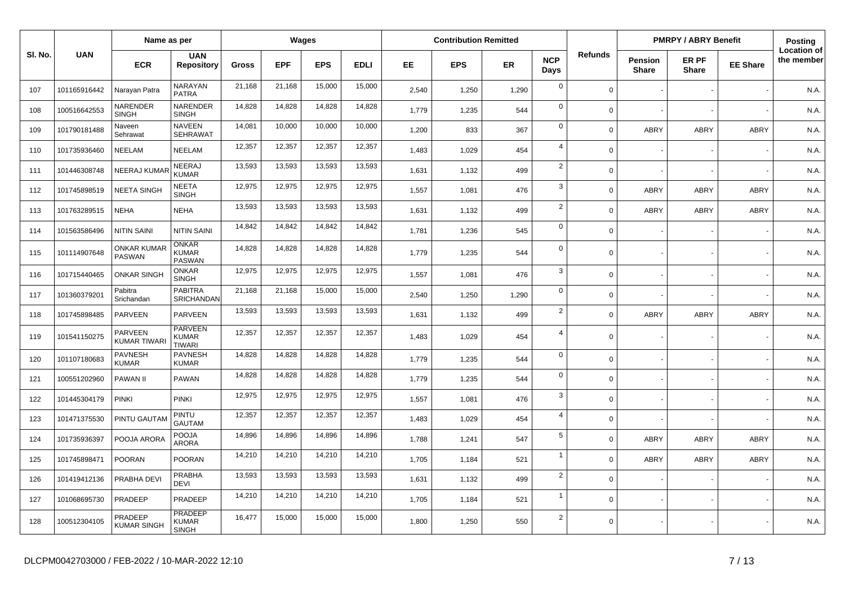|         |              | Name as per                         |                                                 |              |            | Wages      |             |       | <b>Contribution Remitted</b> |       |                    |                |                                | <b>PMRPY / ABRY Benefit</b> |                 | Posting                          |
|---------|--------------|-------------------------------------|-------------------------------------------------|--------------|------------|------------|-------------|-------|------------------------------|-------|--------------------|----------------|--------------------------------|-----------------------------|-----------------|----------------------------------|
| SI. No. | <b>UAN</b>   | <b>ECR</b>                          | <b>UAN</b><br><b>Repository</b>                 | <b>Gross</b> | <b>EPF</b> | <b>EPS</b> | <b>EDLI</b> | EE.   | <b>EPS</b>                   | ER    | <b>NCP</b><br>Days | <b>Refunds</b> | <b>Pension</b><br><b>Share</b> | ER PF<br><b>Share</b>       | <b>EE Share</b> | <b>Location of</b><br>the member |
| 107     | 101165916442 | Narayan Patra                       | NARAYAN<br><b>PATRA</b>                         | 21,168       | 21,168     | 15,000     | 15,000      | 2,540 | 1,250                        | 1,290 | $\mathbf 0$        | $\Omega$       |                                |                             |                 | N.A.                             |
| 108     | 100516642553 | NARENDER<br><b>SINGH</b>            | <b>NARENDER</b><br><b>SINGH</b>                 | 14,828       | 14,828     | 14,828     | 14,828      | 1,779 | 1,235                        | 544   | $\mathbf 0$        | $\Omega$       |                                |                             |                 | N.A.                             |
| 109     | 101790181488 | Naveen<br>Sehrawat                  | <b>NAVEEN</b><br><b>SEHRAWAT</b>                | 14,081       | 10,000     | 10,000     | 10,000      | 1,200 | 833                          | 367   | $\mathbf 0$        | $\Omega$       | ABRY                           | <b>ABRY</b>                 | <b>ABRY</b>     | N.A.                             |
| 110     | 101735936460 | NEELAM                              | <b>NEELAM</b>                                   | 12,357       | 12,357     | 12,357     | 12,357      | 1,483 | 1,029                        | 454   | $\overline{4}$     | $\Omega$       |                                |                             |                 | N.A.                             |
| 111     | 101446308748 | <b>NEERAJ KUMAI</b>                 | NEERAJ<br><b>KUMAR</b>                          | 13,593       | 13,593     | 13,593     | 13,593      | 1.631 | 1,132                        | 499   | $\overline{2}$     | $\Omega$       |                                |                             |                 | N.A.                             |
| 112     | 101745898519 | <b>NEETA SINGH</b>                  | <b>NEETA</b><br><b>SINGH</b>                    | 12,975       | 12,975     | 12,975     | 12,975      | 1,557 | 1,081                        | 476   | $\mathbf{3}$       | $\Omega$       | ABRY                           | <b>ABRY</b>                 | ABRY            | N.A.                             |
| 113     | 101763289515 | <b>NEHA</b>                         | <b>NEHA</b>                                     | 13,593       | 13,593     | 13,593     | 13,593      | 1,631 | 1,132                        | 499   | $\overline{2}$     | $\Omega$       | ABRY                           | <b>ABRY</b>                 | <b>ABRY</b>     | N.A.                             |
| 114     | 101563586496 | <b>NITIN SAINI</b>                  | <b>NITIN SAINI</b>                              | 14,842       | 14,842     | 14,842     | 14,842      | 1,781 | 1,236                        | 545   | $\mathbf 0$        | $\Omega$       |                                |                             |                 | N.A.                             |
| 115     | 101114907648 | <b>ONKAR KUMAF</b><br><b>PASWAN</b> | <b>ONKAR</b><br><b>KUMAR</b><br><b>PASWAN</b>   | 14,828       | 14,828     | 14,828     | 14,828      | 1,779 | 1,235                        | 544   | $\mathbf 0$        | $\Omega$       |                                |                             |                 | N.A.                             |
| 116     | 101715440465 | <b>ONKAR SINGH</b>                  | <b>ONKAR</b><br><b>SINGH</b>                    | 12,975       | 12,975     | 12,975     | 12,975      | 1,557 | 1,081                        | 476   | 3                  | $\Omega$       |                                |                             |                 | N.A.                             |
| 117     | 101360379201 | Pabitra<br>Srichandan               | <b>PABITRA</b><br>SRICHANDAN                    | 21,168       | 21,168     | 15,000     | 15,000      | 2,540 | 1,250                        | 1,290 | $\mathbf 0$        | $\Omega$       |                                |                             |                 | N.A.                             |
| 118     | 101745898485 | <b>PARVEEN</b>                      | PARVEEN                                         | 13,593       | 13,593     | 13,593     | 13,593      | 1,631 | 1,132                        | 499   | 2                  | $\Omega$       | ABRY                           | <b>ABRY</b>                 | <b>ABRY</b>     | N.A.                             |
| 119     | 101541150275 | PARVEEN<br><b>KUMAR TIWAR</b>       | <b>PARVEEN</b><br><b>KUMAR</b><br><b>TIWARI</b> | 12,357       | 12,357     | 12,357     | 12,357      | 1,483 | 1,029                        | 454   | $\overline{4}$     | $\mathbf 0$    |                                |                             |                 | N.A.                             |
| 120     | 101107180683 | <b>PAVNESH</b><br><b>KUMAR</b>      | <b>PAVNESH</b><br><b>KUMAR</b>                  | 14,828       | 14,828     | 14,828     | 14,828      | 1.779 | 1,235                        | 544   | $\mathbf 0$        | $\Omega$       |                                |                             |                 | N.A.                             |
| 121     | 100551202960 | <b>PAWAN II</b>                     | PAWAN                                           | 14,828       | 14,828     | 14,828     | 14,828      | 1,779 | 1,235                        | 544   | $\mathbf 0$        | $\Omega$       |                                |                             |                 | N.A.                             |
| 122     | 101445304179 | <b>PINKI</b>                        | <b>PINKI</b>                                    | 12,975       | 12,975     | 12,975     | 12,975      | 1,557 | 1,081                        | 476   | $\mathbf{3}$       | $\Omega$       |                                |                             |                 | N.A.                             |
| 123     | 101471375530 | PINTU GAUTAM                        | PINTU<br><b>GAUTAM</b>                          | 12,357       | 12,357     | 12,357     | 12,357      | 1,483 | 1,029                        | 454   | $\overline{4}$     | $\Omega$       |                                |                             |                 | N.A.                             |
| 124     | 101735936397 | POOJA ARORA                         | <b>POOJA</b><br><b>ARORA</b>                    | 14,896       | 14.896     | 14,896     | 14,896      | 1,788 | 1,241                        | 547   | $5\phantom{.0}$    | $\Omega$       | ABRY                           | <b>ABRY</b>                 | ABRY            | N.A.                             |
| 125     | 101745898471 | <b>POORAN</b>                       | POORAN                                          | 14,210       | 14,210     | 14,210     | 14,210      | 1,705 | 1,184                        | 521   | $\overline{1}$     | $\mathbf 0$    | <b>ABRY</b>                    | <b>ABRY</b>                 | <b>ABRY</b>     | N.A.                             |
| 126     | 101419412136 | PRABHA DEVI                         | PRABHA<br><b>DEVI</b>                           | 13,593       | 13,593     | 13,593     | 13,593      | 1,631 | 1,132                        | 499   | $\overline{2}$     | $\Omega$       |                                |                             |                 | N.A.                             |
| 127     | 101068695730 | PRADEEP                             | PRADEEP                                         | 14,210       | 14,210     | 14,210     | 14,210      | 1,705 | 1,184                        | 521   | $\overline{1}$     | $\mathbf 0$    |                                |                             |                 | N.A.                             |
| 128     | 100512304105 | PRADEEP<br><b>KUMAR SINGH</b>       | <b>PRADEEP</b><br>KUMAR<br><b>SINGH</b>         | 16,477       | 15,000     | 15,000     | 15,000      | 1,800 | 1,250                        | 550   | $\overline{2}$     | $\Omega$       |                                |                             |                 | N.A.                             |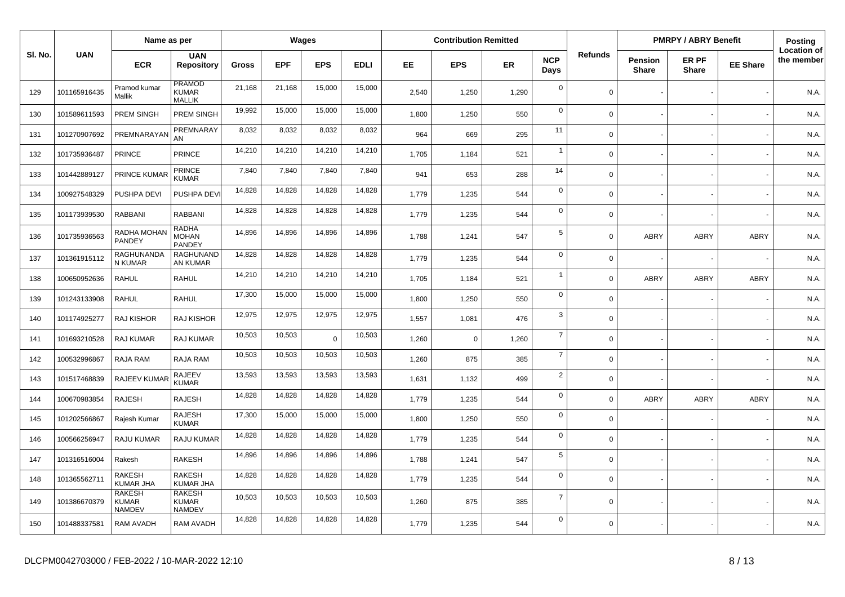|         |              | Name as per                                    |                                                |              |            | Wages      |             |       | <b>Contribution Remitted</b> |       |                    |                |                                | <b>PMRPY / ABRY Benefit</b> |                 | <b>Posting</b>                   |
|---------|--------------|------------------------------------------------|------------------------------------------------|--------------|------------|------------|-------------|-------|------------------------------|-------|--------------------|----------------|--------------------------------|-----------------------------|-----------------|----------------------------------|
| SI. No. | <b>UAN</b>   | <b>ECR</b>                                     | <b>UAN</b><br><b>Repository</b>                | <b>Gross</b> | <b>EPF</b> | <b>EPS</b> | <b>EDLI</b> | EE.   | <b>EPS</b>                   | ER    | <b>NCP</b><br>Days | <b>Refunds</b> | <b>Pension</b><br><b>Share</b> | ER PF<br><b>Share</b>       | <b>EE Share</b> | <b>Location of</b><br>the member |
| 129     | 101165916435 | Pramod kumar<br>Mallik                         | PRAMOD<br>KUMAR<br><b>MALLIK</b>               | 21,168       | 21,168     | 15,000     | 15,000      | 2,540 | 1,250                        | 1,290 | $\mathbf 0$        | $\mathbf 0$    |                                |                             |                 | N.A.                             |
| 130     | 101589611593 | PREM SINGH                                     | PREM SINGH                                     | 19,992       | 15,000     | 15,000     | 15,000      | 1,800 | 1,250                        | 550   | $\mathbf 0$        | $\Omega$       |                                |                             |                 | N.A.                             |
| 131     | 101270907692 | PREMNARAYAM                                    | PREMNARAY<br>AN                                | 8,032        | 8,032      | 8,032      | 8,032       | 964   | 669                          | 295   | 11                 | $\mathbf 0$    |                                |                             |                 | N.A.                             |
| 132     | 101735936487 | <b>PRINCE</b>                                  | PRINCE                                         | 14,210       | 14,210     | 14,210     | 14,210      | 1.705 | 1,184                        | 521   | $\overline{1}$     | $\Omega$       |                                |                             |                 | N.A.                             |
| 133     | 101442889127 | <b>PRINCE KUMAR</b>                            | <b>PRINCE</b><br><b>KUMAR</b>                  | 7,840        | 7,840      | 7,840      | 7,840       | 941   | 653                          | 288   | 14                 | $\mathbf 0$    |                                |                             |                 | N.A.                             |
| 134     | 100927548329 | PUSHPA DEVI                                    | PUSHPA DEVI                                    | 14,828       | 14,828     | 14,828     | 14,828      | 1,779 | 1,235                        | 544   | $\mathbf 0$        | $\Omega$       |                                |                             |                 | N.A.                             |
| 135     | 101173939530 | RABBANI                                        | <b>RABBANI</b>                                 | 14,828       | 14,828     | 14,828     | 14,828      | 1,779 | 1,235                        | 544   | $\mathbf 0$        | $\mathbf 0$    |                                |                             |                 | N.A.                             |
| 136     | 101735936563 | RADHA MOHAN<br>PANDEY                          | <b>RADHA</b><br>MOHAN<br>PANDEY                | 14,896       | 14,896     | 14,896     | 14,896      | 1,788 | 1,241                        | 547   | 5                  | $\Omega$       | ABRY                           | <b>ABRY</b>                 | ABRY            | N.A.                             |
| 137     | 101361915112 | RAGHUNANDA<br>N KUMAR                          | RAGHUNAND<br>AN KUMAR                          | 14,828       | 14,828     | 14,828     | 14,828      | 1.779 | 1,235                        | 544   | $\mathbf 0$        | $\Omega$       |                                |                             |                 | N.A.                             |
| 138     | 100650952636 | <b>RAHUL</b>                                   | RAHUL                                          | 14,210       | 14,210     | 14,210     | 14,210      | 1,705 | 1,184                        | 521   | $\overline{1}$     | $\Omega$       | <b>ABRY</b>                    | <b>ABRY</b>                 | <b>ABRY</b>     | N.A.                             |
| 139     | 101243133908 | <b>RAHUL</b>                                   | <b>RAHUL</b>                                   | 17,300       | 15,000     | 15,000     | 15,000      | 1,800 | 1,250                        | 550   | $\mathbf 0$        | $\Omega$       |                                |                             |                 | N.A.                             |
| 140     | 101174925277 | RAJ KISHOR                                     | <b>RAJ KISHOR</b>                              | 12,975       | 12,975     | 12,975     | 12,975      | 1,557 | 1,081                        | 476   | 3                  | $\mathbf 0$    |                                |                             |                 | N.A.                             |
| 141     | 101693210528 | RAJ KUMAR                                      | RAJ KUMAR                                      | 10,503       | 10,503     | $\Omega$   | 10,503      | 1,260 | $\mathbf 0$                  | 1,260 | $\overline{7}$     | $\Omega$       |                                |                             |                 | N.A.                             |
| 142     | 100532996867 | RAJA RAM                                       | RAJA RAM                                       | 10,503       | 10,503     | 10,503     | 10,503      | 1,260 | 875                          | 385   | $\overline{7}$     | $\Omega$       |                                |                             |                 | N.A.                             |
| 143     | 101517468839 | RAJEEV KUMAR                                   | RAJEEV<br><b>KUMAR</b>                         | 13,593       | 13,593     | 13,593     | 13,593      | 1,631 | 1,132                        | 499   | $\overline{2}$     | $\mathbf 0$    |                                |                             |                 | N.A.                             |
| 144     | 100670983854 | <b>RAJESH</b>                                  | <b>RAJESH</b>                                  | 14,828       | 14,828     | 14,828     | 14,828      | 1,779 | 1,235                        | 544   | $\mathbf 0$        | $\mathbf 0$    | ABRY                           | <b>ABRY</b>                 | ABRY            | N.A.                             |
| 145     | 101202566867 | Rajesh Kumar                                   | <b>RAJESH</b><br><b>KUMAR</b>                  | 17,300       | 15,000     | 15,000     | 15,000      | 1.800 | 1,250                        | 550   | $\mathbf 0$        | $\Omega$       |                                |                             |                 | N.A.                             |
| 146     | 100566256947 | RAJU KUMAR                                     | <b>RAJU KUMAR</b>                              | 14,828       | 14,828     | 14,828     | 14,828      | 1.779 | 1,235                        | 544   | $\mathbf 0$        | $\mathbf 0$    |                                |                             |                 | N.A.                             |
| 147     | 101316516004 | Rakesh                                         | <b>RAKESH</b>                                  | 14,896       | 14,896     | 14,896     | 14,896      | 1,788 | 1,241                        | 547   | $\,$ 5 $\,$        | $\Omega$       |                                |                             |                 | N.A.                             |
| 148     | 101365562711 | RAKESH<br><b>KUMAR JHA</b>                     | <b>RAKESH</b><br><b>KUMAR JHA</b>              | 14,828       | 14,828     | 14,828     | 14,828      | 1,779 | 1,235                        | 544   | $\mathbf 0$        | $\mathbf 0$    |                                |                             |                 | N.A.                             |
| 149     | 101386670379 | <b>RAKESH</b><br><b>KUMAR</b><br><b>NAMDEV</b> | <b>RAKESH</b><br><b>KUMAR</b><br><b>NAMDEV</b> | 10,503       | 10,503     | 10,503     | 10,503      | 1,260 | 875                          | 385   | $\overline{7}$     | $\Omega$       |                                |                             |                 | N.A.                             |
| 150     | 101488337581 | <b>RAM AVADH</b>                               | <b>RAM AVADH</b>                               | 14,828       | 14,828     | 14,828     | 14,828      | 1.779 | 1,235                        | 544   | $\overline{0}$     | $\mathbf 0$    |                                |                             |                 | N.A.                             |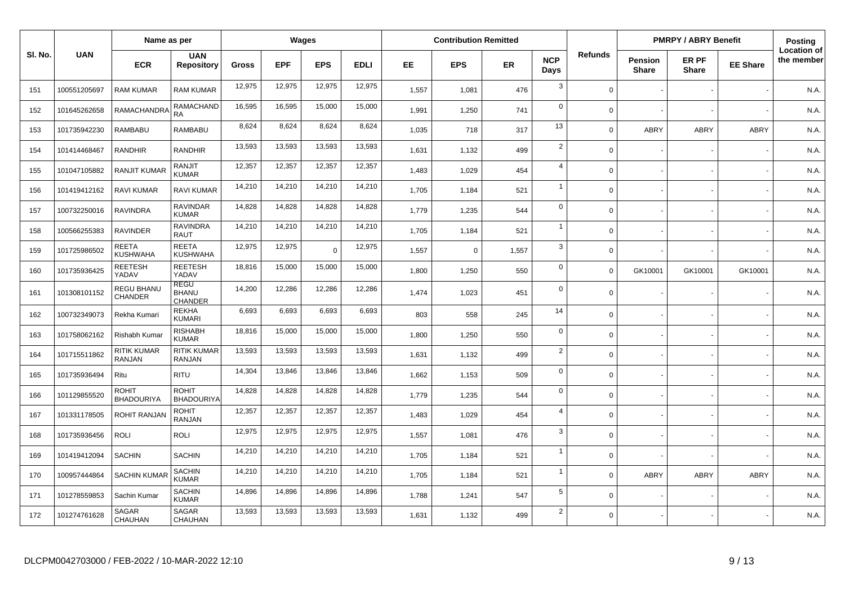|         |              | Name as per                |                                               |              |            | Wages      |             |       | <b>Contribution Remitted</b> |       |                    |                |                                | <b>PMRPY / ABRY Benefit</b> |                 | <b>Posting</b>                   |
|---------|--------------|----------------------------|-----------------------------------------------|--------------|------------|------------|-------------|-------|------------------------------|-------|--------------------|----------------|--------------------------------|-----------------------------|-----------------|----------------------------------|
| SI. No. | <b>UAN</b>   | <b>ECR</b>                 | <b>UAN</b><br><b>Repository</b>               | <b>Gross</b> | <b>EPF</b> | <b>EPS</b> | <b>EDLI</b> | EE    | <b>EPS</b>                   | ER    | <b>NCP</b><br>Days | <b>Refunds</b> | <b>Pension</b><br><b>Share</b> | ER PF<br><b>Share</b>       | <b>EE Share</b> | <b>Location of</b><br>the member |
| 151     | 100551205697 | <b>RAM KUMAR</b>           | RAM KUMAR                                     | 12,975       | 12,975     | 12,975     | 12,975      | 1,557 | 1,081                        | 476   | 3                  | $\Omega$       |                                |                             |                 | N.A.                             |
| 152     | 101645262658 | RAMACHANDRA                | <b>RAMACHAND</b><br><b>RA</b>                 | 16,595       | 16,595     | 15,000     | 15,000      | 1,991 | 1,250                        | 741   | $\mathbf 0$        | $\Omega$       |                                |                             |                 | N.A.                             |
| 153     | 101735942230 | RAMBABU                    | RAMBABU                                       | 8,624        | 8,624      | 8,624      | 8,624       | 1,035 | 718                          | 317   | 13                 | $\Omega$       | ABRY                           | <b>ABRY</b>                 | ABRY            | N.A.                             |
| 154     | 101414468467 | RANDHIR                    | RANDHIR                                       | 13,593       | 13,593     | 13,593     | 13,593      | 1,631 | 1,132                        | 499   | $\overline{2}$     | $\Omega$       |                                |                             |                 | N.A.                             |
| 155     | 101047105882 | <b>RANJIT KUMAR</b>        | <b>RANJIT</b><br><b>KUMAR</b>                 | 12,357       | 12,357     | 12,357     | 12,357      | 1,483 | 1,029                        | 454   | $\overline{4}$     | $\Omega$       |                                |                             |                 | N.A.                             |
| 156     | 101419412162 | <b>RAVI KUMAR</b>          | RAVI KUMAR                                    | 14,210       | 14,210     | 14,210     | 14,210      | 1,705 | 1,184                        | 521   | $\overline{1}$     | $\Omega$       |                                |                             |                 | N.A.                             |
| 157     | 100732250016 | <b>RAVINDRA</b>            | <b>RAVINDAR</b><br><b>KUMAR</b>               | 14,828       | 14,828     | 14,828     | 14,828      | 1,779 | 1,235                        | 544   | $\mathbf 0$        | $\mathbf 0$    |                                |                             |                 | N.A.                             |
| 158     | 100566255383 | <b>RAVINDER</b>            | <b>RAVINDRA</b><br><b>RAUT</b>                | 14,210       | 14,210     | 14,210     | 14,210      | 1,705 | 1,184                        | 521   | $\overline{1}$     | $\Omega$       |                                |                             |                 | N.A.                             |
| 159     | 101725986502 | <b>REETA</b><br>KUSHWAHA   | <b>REETA</b><br><b>KUSHWAHA</b>               | 12,975       | 12,975     | $\Omega$   | 12,975      | 1,557 | $\mathbf 0$                  | 1,557 | $\mathbf{3}$       | $\Omega$       |                                |                             |                 | N.A.                             |
| 160     | 101735936425 | REETESH<br>YADAV           | <b>REETESH</b><br>YADAV                       | 18,816       | 15,000     | 15,000     | 15,000      | 1,800 | 1,250                        | 550   | $\mathbf 0$        | $\Omega$       | GK10001                        | GK10001                     | GK10001         | N.A.                             |
| 161     | 101308101152 | REGU BHANU<br>CHANDER      | <b>REGU</b><br><b>BHANU</b><br><b>CHANDER</b> | 14,200       | 12,286     | 12,286     | 12,286      | 1,474 | 1,023                        | 451   | $\mathbf 0$        | $\Omega$       |                                |                             |                 | N.A.                             |
| 162     | 100732349073 | Rekha Kumari               | <b>REKHA</b><br><b>KUMARI</b>                 | 6,693        | 6,693      | 6,693      | 6,693       | 803   | 558                          | 245   | 14                 | $\Omega$       |                                |                             |                 | N.A.                             |
| 163     | 101758062162 | Rishabh Kumar              | <b>RISHABH</b><br><b>KUMAR</b>                | 18,816       | 15,000     | 15,000     | 15,000      | 1,800 | 1,250                        | 550   | $\mathbf 0$        | $\Omega$       |                                |                             |                 | N.A.                             |
| 164     | 101715511862 | RITIK KUMAR<br>RANJAN      | RITIK KUMAR<br><b>RANJAN</b>                  | 13,593       | 13,593     | 13,593     | 13,593      | 1,631 | 1,132                        | 499   | $\overline{2}$     | $\Omega$       |                                |                             |                 | N.A.                             |
| 165     | 101735936494 | Ritu                       | <b>RITU</b>                                   | 14,304       | 13,846     | 13,846     | 13,846      | 1,662 | 1,153                        | 509   | $\mathbf 0$        | $\Omega$       |                                |                             |                 | N.A.                             |
| 166     | 101129855520 | ROHIT<br><b>BHADOURIYA</b> | <b>ROHIT</b><br><b>BHADOURIYA</b>             | 14,828       | 14,828     | 14,828     | 14,828      | 1,779 | 1,235                        | 544   | $\Omega$           | $\Omega$       |                                |                             |                 | N.A.                             |
| 167     | 101331178505 | <b>ROHIT RANJAN</b>        | ROHIT<br>RANJAN                               | 12,357       | 12,357     | 12,357     | 12,357      | 1,483 | 1,029                        | 454   | $\overline{4}$     | $\mathbf 0$    |                                |                             |                 | N.A.                             |
| 168     | 101735936456 | <b>ROLI</b>                | <b>ROLI</b>                                   | 12,975       | 12,975     | 12,975     | 12,975      | 1,557 | 1,081                        | 476   | 3                  | $\mathbf 0$    |                                |                             |                 | N.A.                             |
| 169     | 101419412094 | <b>SACHIN</b>              | <b>SACHIN</b>                                 | 14,210       | 14,210     | 14,210     | 14,210      | 1,705 | 1,184                        | 521   | $\overline{1}$     | $\mathbf 0$    |                                |                             |                 | N.A.                             |
| 170     | 100957444864 | <b>SACHIN KUMAF</b>        | <b>SACHIN</b><br>KUMAR                        | 14,210       | 14,210     | 14,210     | 14,210      | 1,705 | 1,184                        | 521   | -1                 | $\Omega$       | ABRY                           | <b>ABRY</b>                 | <b>ABRY</b>     | N.A.                             |
| 171     | 101278559853 | Sachin Kumar               | <b>SACHIN</b><br><b>KUMAR</b>                 | 14,896       | 14,896     | 14,896     | 14,896      | 1,788 | 1,241                        | 547   | 5                  | $\Omega$       |                                |                             |                 | N.A.                             |
| 172     | 101274761628 | SAGAR<br>CHAUHAN           | SAGAR<br><b>CHAUHAN</b>                       | 13,593       | 13,593     | 13,593     | 13,593      | 1,631 | 1,132                        | 499   | $\overline{2}$     | $\Omega$       |                                |                             |                 | N.A.                             |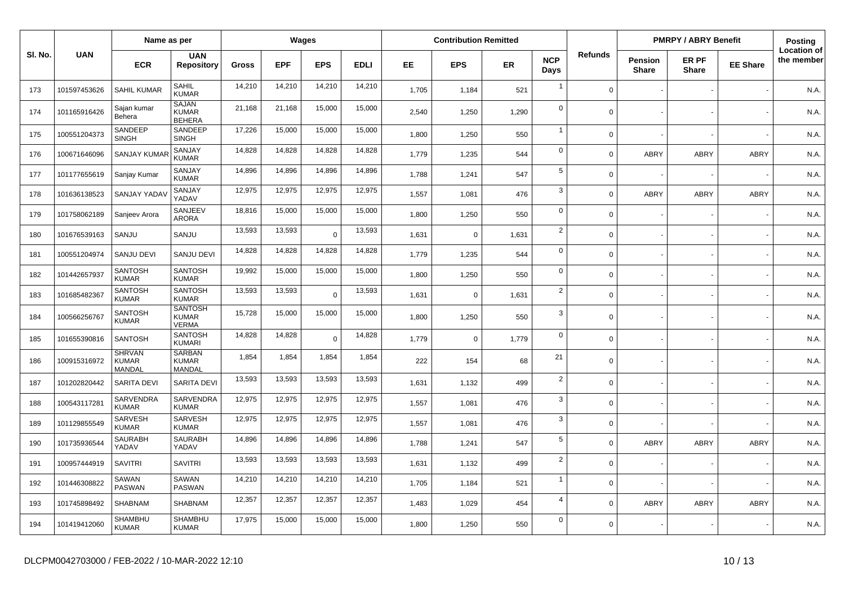|         | Name as per  |                                         |                                                |              |            | Wages      |             |           | <b>Contribution Remitted</b> |           |                    |                |                                | <b>PMRPY / ABRY Benefit</b> |                 | Posting                          |
|---------|--------------|-----------------------------------------|------------------------------------------------|--------------|------------|------------|-------------|-----------|------------------------------|-----------|--------------------|----------------|--------------------------------|-----------------------------|-----------------|----------------------------------|
| SI. No. | <b>UAN</b>   | <b>ECR</b>                              | <b>UAN</b><br><b>Repository</b>                | <b>Gross</b> | <b>EPF</b> | <b>EPS</b> | <b>EDLI</b> | <b>EE</b> | <b>EPS</b>                   | <b>ER</b> | <b>NCP</b><br>Days | <b>Refunds</b> | <b>Pension</b><br><b>Share</b> | ER PF<br><b>Share</b>       | <b>EE Share</b> | <b>Location of</b><br>the member |
| 173     | 101597453626 | <b>SAHIL KUMAR</b>                      | SAHIL<br><b>KUMAR</b>                          | 14,210       | 14,210     | 14,210     | 14,210      | 1,705     | 1,184                        | 521       | $\overline{1}$     | $\mathbf 0$    |                                |                             |                 | N.A.                             |
| 174     | 101165916426 | Sajan kumar<br>Behera                   | <b>SAJAN</b><br><b>KUMAR</b><br><b>BEHERA</b>  | 21,168       | 21,168     | 15,000     | 15,000      | 2,540     | 1,250                        | 1,290     | $\Omega$           | $\mathbf 0$    |                                |                             |                 | N.A.                             |
| 175     | 100551204373 | SANDEEP<br><b>SINGH</b>                 | SANDEEP<br><b>SINGH</b>                        | 17,226       | 15,000     | 15,000     | 15,000      | 1,800     | 1,250                        | 550       | $\mathbf{1}$       | $\mathbf 0$    |                                |                             |                 | N.A.                             |
| 176     | 100671646096 | SANJAY KUMA                             | SANJAY<br><b>KUMAR</b>                         | 14,828       | 14,828     | 14,828     | 14,828      | 1,779     | 1,235                        | 544       | $\mathbf 0$        | $\mathbf 0$    | <b>ABRY</b>                    | ABRY                        | <b>ABRY</b>     | N.A                              |
| 177     | 101177655619 | Sanjay Kumar                            | SANJAY<br><b>KUMAR</b>                         | 14,896       | 14,896     | 14,896     | 14,896      | 1,788     | 1,241                        | 547       | 5                  | $\mathsf{O}$   |                                |                             |                 | N.A.                             |
| 178     | 101636138523 | SANJAY YADA                             | SANJAY<br>YADAV                                | 12,975       | 12,975     | 12,975     | 12,975      | 1,557     | 1,081                        | 476       | 3                  | $\mathbf 0$    | <b>ABRY</b>                    | ABRY                        | <b>ABRY</b>     | N.A.                             |
| 179     | 101758062189 | Sanjeev Arora                           | SANJEEV<br><b>ARORA</b>                        | 18,816       | 15,000     | 15,000     | 15,000      | 1,800     | 1,250                        | 550       | $\mathbf 0$        | $\mathbf 0$    |                                |                             |                 | N.A.                             |
| 180     | 101676539163 | SANJU                                   | SANJU                                          | 13,593       | 13,593     | $\Omega$   | 13,593      | 1,631     | $\Omega$                     | 1,631     | $\overline{2}$     | $\mathbf 0$    |                                |                             |                 | N.A.                             |
| 181     | 100551204974 | SANJU DEVI                              | <b>SANJU DEVI</b>                              | 14,828       | 14,828     | 14,828     | 14,828      | 1,779     | 1,235                        | 544       | $\mathbf 0$        | $\mathbf 0$    |                                |                             |                 | N.A.                             |
| 182     | 101442657937 | <b>SANTOSH</b><br><b>KUMAR</b>          | <b>SANTOSH</b><br><b>KUMAR</b>                 | 19,992       | 15,000     | 15,000     | 15,000      | 1,800     | 1,250                        | 550       | $\mathbf 0$        | $\mathbf 0$    |                                |                             |                 | N.A.                             |
| 183     | 101685482367 | <b>SANTOSH</b><br><b>KUMAR</b>          | <b>SANTOSH</b><br><b>KUMAR</b>                 | 13,593       | 13,593     | $\Omega$   | 13,593      | 1,631     | $\Omega$                     | 1,631     | $\overline{2}$     | $\mathbf 0$    |                                |                             |                 | N.A.                             |
| 184     | 100566256767 | SANTOSH<br><b>KUMAR</b>                 | <b>SANTOSH</b><br><b>KUMAR</b><br><b>VERMA</b> | 15,728       | 15,000     | 15,000     | 15,000      | 1,800     | 1,250                        | 550       | 3                  | $\mathbf 0$    |                                |                             |                 | N.A.                             |
| 185     | 101655390816 | <b>SANTOSH</b>                          | <b>SANTOSH</b><br><b>KUMARI</b>                | 14,828       | 14,828     | $\Omega$   | 14,828      | 1,779     | $\Omega$                     | 1,779     | $\mathbf 0$        | $\mathbf 0$    |                                |                             |                 | N.A.                             |
| 186     | 100915316972 | <b>SHRVAN</b><br><b>KUMAR</b><br>MANDAL | <b>SARBAN</b><br><b>KUMAR</b><br>MANDAL        | 1,854        | 1,854      | 1,854      | 1,854       | 222       | 154                          | 68        | 21                 | $\mathbf 0$    |                                |                             |                 | N.A.                             |
| 187     | 101202820442 | SARITA DEVI                             | SARITA DEVI                                    | 13,593       | 13,593     | 13,593     | 13,593      | 1,631     | 1,132                        | 499       | $\overline{2}$     | $\mathbf 0$    |                                |                             |                 | N.A.                             |
| 188     | 100543117281 | SARVENDRA<br><b>KUMAR</b>               | SARVENDRA<br><b>KUMAR</b>                      | 12,975       | 12,975     | 12,975     | 12,975      | 1,557     | 1,081                        | 476       | 3                  | $\mathbf 0$    |                                |                             |                 | N.A.                             |
| 189     | 101129855549 | <b>SARVESH</b><br><b>KUMAR</b>          | <b>SARVESH</b><br><b>KUMAR</b>                 | 12,975       | 12,975     | 12,975     | 12,975      | 1,557     | 1,081                        | 476       | 3                  | $\mathbf 0$    |                                |                             |                 | N.A.                             |
| 190     | 101735936544 | <b>SAURABH</b><br>YADAV                 | <b>SAURABH</b><br>YADAV                        | 14,896       | 14,896     | 14,896     | 14,896      | 1,788     | 1,241                        | 547       | 5                  | $\mathbf 0$    | <b>ABRY</b>                    | ABRY                        | <b>ABRY</b>     | N.A.                             |
| 191     | 100957444919 | SAVITRI                                 | <b>SAVITRI</b>                                 | 13,593       | 13,593     | 13,593     | 13,593      | 1,631     | 1,132                        | 499       | $\overline{2}$     | $\mathbf 0$    |                                |                             |                 | N.A.                             |
| 192     | 101446308822 | SAWAN<br>PASWAN                         | <b>SAWAN</b><br><b>PASWAN</b>                  | 14,210       | 14,210     | 14,210     | 14,210      | 1,705     | 1,184                        | 521       | $\overline{1}$     | $\mathbf 0$    |                                |                             |                 | N.A.                             |
| 193     | 101745898492 | <b>SHABNAM</b>                          | SHABNAM                                        | 12,357       | 12,357     | 12,357     | 12,357      | 1,483     | 1,029                        | 454       | $\overline{4}$     | $\mathbf 0$    | <b>ABRY</b>                    | ABRY                        | <b>ABRY</b>     | N.A.                             |
| 194     | 101419412060 | SHAMBHU<br><b>KUMAR</b>                 | SHAMBHU<br><b>KUMAR</b>                        | 17,975       | 15,000     | 15,000     | 15,000      | 1,800     | 1,250                        | 550       | 0                  | $\mathbf 0$    |                                |                             |                 | N.A.                             |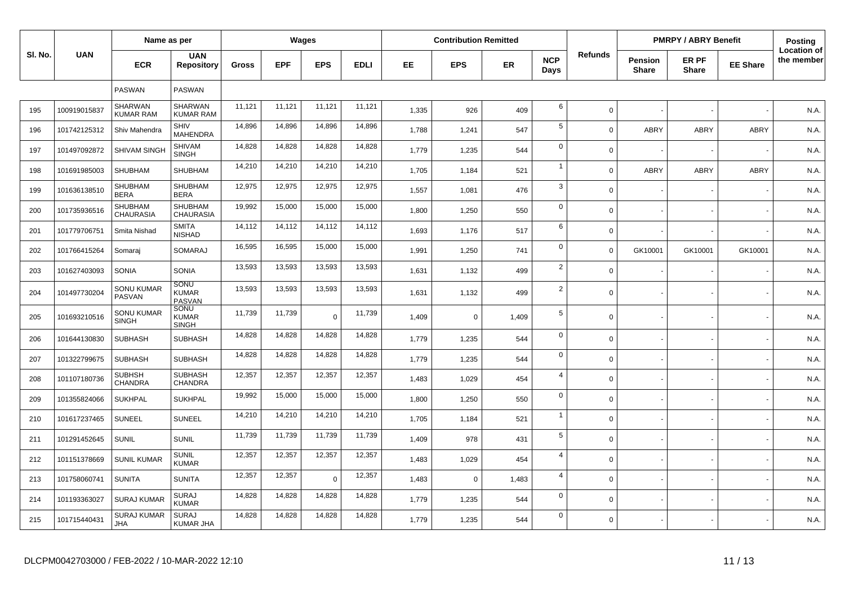|         |              | Name as per                       |                                      |              |            | Wages      |             |       | <b>Contribution Remitted</b> |       |                    |                |                                | <b>PMRPY / ABRY Benefit</b> |                 | Posting                          |
|---------|--------------|-----------------------------------|--------------------------------------|--------------|------------|------------|-------------|-------|------------------------------|-------|--------------------|----------------|--------------------------------|-----------------------------|-----------------|----------------------------------|
| SI. No. | <b>UAN</b>   | <b>ECR</b>                        | <b>UAN</b><br><b>Repository</b>      | <b>Gross</b> | <b>EPF</b> | <b>EPS</b> | <b>EDLI</b> | EE    | <b>EPS</b>                   | ER    | <b>NCP</b><br>Days | <b>Refunds</b> | <b>Pension</b><br><b>Share</b> | ER PF<br><b>Share</b>       | <b>EE Share</b> | <b>Location of</b><br>the member |
|         |              | PASWAN                            | <b>PASWAN</b>                        |              |            |            |             |       |                              |       |                    |                |                                |                             |                 |                                  |
| 195     | 100919015837 | SHARWAN<br><b>KUMAR RAM</b>       | <b>SHARWAN</b><br><b>KUMAR RAM</b>   | 11.121       | 11,121     | 11,121     | 11,121      | 1,335 | 926                          | 409   | 6                  | $\mathbf 0$    |                                |                             |                 | N.A.                             |
| 196     | 101742125312 | Shiv Mahendra                     | SHIV<br><b>MAHENDRA</b>              | 14,896       | 14,896     | 14,896     | 14,896      | 1,788 | 1,241                        | 547   | 5                  | $\Omega$       | <b>ABRY</b>                    | <b>ABRY</b>                 | <b>ABRY</b>     | N.A.                             |
| 197     | 101497092872 | SHIVAM SINGH                      | <b>SHIVAM</b><br><b>SINGH</b>        | 14,828       | 14,828     | 14,828     | 14,828      | 1,779 | 1,235                        | 544   | $\mathbf 0$        | $\mathbf 0$    |                                |                             |                 | N.A                              |
| 198     | 101691985003 | <b>SHUBHAM</b>                    | <b>SHUBHAM</b>                       | 14,210       | 14,210     | 14,210     | 14,210      | 1,705 | 1,184                        | 521   | $\overline{1}$     | $\Omega$       | ABRY                           | ABRY                        | <b>ABRY</b>     | N.A.                             |
| 199     | 101636138510 | <b>SHUBHAM</b><br><b>BERA</b>     | <b>SHUBHAM</b><br><b>BERA</b>        | 12,975       | 12,975     | 12,975     | 12,975      | 1,557 | 1,081                        | 476   | 3                  | $\mathbf{0}$   |                                |                             |                 | N.A.                             |
| 200     | 101735936516 | <b>SHUBHAM</b><br>CHAURASIA       | <b>SHUBHAM</b><br><b>CHAURASIA</b>   | 19,992       | 15,000     | 15,000     | 15,000      | 1,800 | 1,250                        | 550   | $\Omega$           | $\mathbf 0$    |                                |                             |                 | N.A.                             |
| 201     | 101779706751 | Smita Nishad                      | <b>SMITA</b><br><b>NISHAD</b>        | 14,112       | 14,112     | 14,112     | 14,112      | 1,693 | 1,176                        | 517   | 6                  | $\mathbf 0$    |                                |                             |                 | N.A.                             |
| 202     | 101766415264 | Somaraj                           | <b>SOMARAJ</b>                       | 16,595       | 16,595     | 15,000     | 15,000      | 1,991 | 1,250                        | 741   | $\mathbf 0$        | $\Omega$       | GK10001                        | GK10001                     | GK10001         | N.A.                             |
| 203     | 101627403093 | SONIA                             | SONIA                                | 13,593       | 13,593     | 13,593     | 13,593      | 1,631 | 1,132                        | 499   | $\overline{2}$     | $\mathbf 0$    |                                |                             |                 | N.A.                             |
| 204     | 101497730204 | <b>SONU KUMAR</b><br>PASVAN       | SONU<br><b>KUMAR</b><br>PASVAN       | 13,593       | 13,593     | 13,593     | 13,593      | 1,631 | 1,132                        | 499   | $\overline{2}$     | $\mathbf 0$    |                                |                             |                 | N.A.                             |
| 205     | 101693210516 | <b>SONU KUMAR</b><br><b>SINGH</b> | SONU<br><b>KUMAR</b><br><b>SINGH</b> | 11,739       | 11,739     | $\Omega$   | 11,739      | 1,409 | $\mathbf 0$                  | 1,409 | 5                  | $\mathbf 0$    |                                |                             |                 | N.A.                             |
| 206     | 101644130830 | <b>SUBHASH</b>                    | <b>SUBHASH</b>                       | 14,828       | 14,828     | 14,828     | 14,828      | 1,779 | 1,235                        | 544   | $\Omega$           | $\mathbf 0$    |                                |                             |                 | N.A.                             |
| 207     | 101322799675 | <b>SUBHASH</b>                    | <b>SUBHASH</b>                       | 14,828       | 14,828     | 14,828     | 14,828      | 1,779 | 1,235                        | 544   | $\mathbf 0$        | $\mathbf 0$    |                                |                             |                 | N.A.                             |
| 208     | 101107180736 | <b>SUBHSH</b><br>CHANDRA          | <b>SUBHASH</b><br><b>CHANDRA</b>     | 12,357       | 12,357     | 12,357     | 12,357      | 1,483 | 1,029                        | 454   | $\overline{4}$     | $\mathbf 0$    |                                |                             |                 | N.A.                             |
| 209     | 101355824066 | <b>SUKHPAL</b>                    | <b>SUKHPAL</b>                       | 19,992       | 15,000     | 15,000     | 15,000      | 1,800 | 1,250                        | 550   | $\mathbf 0$        | $\mathbf 0$    |                                |                             |                 | N.A.                             |
| 210     | 101617237465 | SUNEEL                            | <b>SUNEEL</b>                        | 14,210       | 14,210     | 14,210     | 14,210      | 1,705 | 1,184                        | 521   | $\mathbf{1}$       | $\mathbf 0$    |                                |                             |                 | N.A.                             |
| 211     | 101291452645 | <b>SUNIL</b>                      | <b>SUNIL</b>                         | 11,739       | 11,739     | 11,739     | 11,739      | 1,409 | 978                          | 431   | 5                  | $\mathbf 0$    |                                |                             |                 | N.A.                             |
| 212     | 101151378669 | <b>SUNIL KUMAR</b>                | <b>SUNIL</b><br><b>KUMAR</b>         | 12,357       | 12,357     | 12,357     | 12,357      | 1,483 | 1,029                        | 454   | $\overline{4}$     | $\mathbf 0$    |                                |                             |                 | N.A.                             |
| 213     | 101758060741 | <b>SUNITA</b>                     | <b>SUNITA</b>                        | 12,357       | 12,357     | $\Omega$   | 12,357      | 1,483 | $\mathbf 0$                  | 1,483 | $\overline{4}$     | $\mathbf 0$    |                                |                             |                 | N.A.                             |
| 214     | 101193363027 | <b>SURAJ KUMAR</b>                | <b>SURAJ</b><br><b>KUMAR</b>         | 14,828       | 14,828     | 14,828     | 14,828      | 1,779 | 1,235                        | 544   | $\mathbf 0$        | $\mathbf 0$    |                                |                             |                 | N.A.                             |
| 215     | 101715440431 | <b>SURAJ KUMAR</b><br>JHA         | <b>SURAJ</b><br><b>KUMAR JHA</b>     | 14,828       | 14,828     | 14,828     | 14,828      | 1,779 | 1,235                        | 544   | $\Omega$           | $\mathbf 0$    |                                |                             |                 | N.A.                             |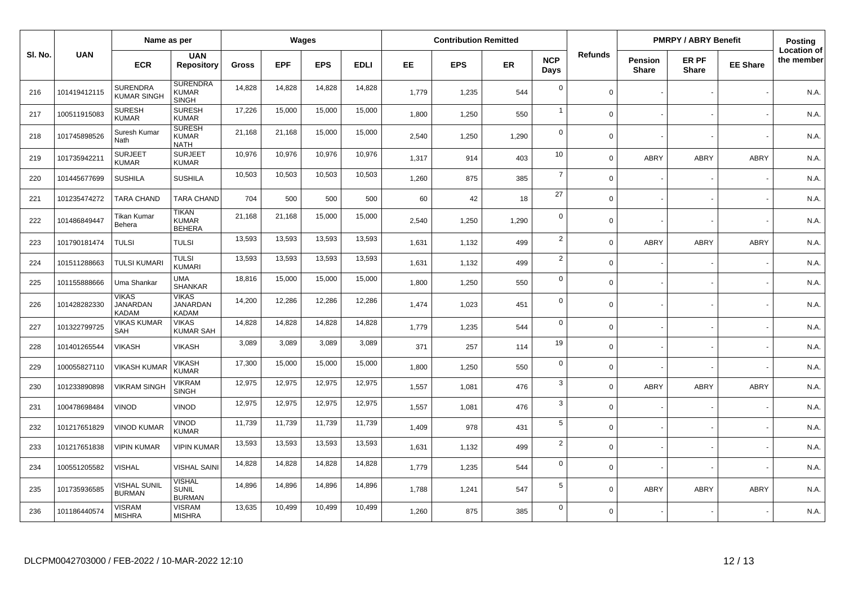|         |              | Name as per                                     |                                                 |        |            | Wages      |             |           | <b>Contribution Remitted</b> |           |                    |                |                  | <b>PMRPY / ABRY Benefit</b> |                 | Posting                          |
|---------|--------------|-------------------------------------------------|-------------------------------------------------|--------|------------|------------|-------------|-----------|------------------------------|-----------|--------------------|----------------|------------------|-----------------------------|-----------------|----------------------------------|
| SI. No. | <b>UAN</b>   | <b>ECR</b>                                      | <b>UAN</b><br><b>Repository</b>                 | Gross  | <b>EPF</b> | <b>EPS</b> | <b>EDLI</b> | <b>EE</b> | <b>EPS</b>                   | <b>ER</b> | <b>NCP</b><br>Days | <b>Refunds</b> | Pension<br>Share | ER PF<br><b>Share</b>       | <b>EE Share</b> | <b>Location of</b><br>the member |
| 216     | 101419412115 | <b>SURENDRA</b><br><b>KUMAR SINGH</b>           | <b>SURENDRA</b><br><b>KUMAR</b><br><b>SINGH</b> | 14,828 | 14,828     | 14,828     | 14,828      | 1,779     | 1,235                        | 544       | $\mathbf 0$        | $\Omega$       |                  |                             |                 | N.A.                             |
| 217     | 100511915083 | <b>SURESH</b><br><b>KUMAR</b>                   | <b>SURESH</b><br><b>KUMAR</b>                   | 17,226 | 15,000     | 15,000     | 15,000      | 1,800     | 1,250                        | 550       | $\overline{1}$     | $\Omega$       |                  |                             |                 | N.A.                             |
| 218     | 101745898526 | Suresh Kumar<br>Nath                            | <b>SURESH</b><br><b>KUMAR</b><br><b>NATH</b>    | 21,168 | 21,168     | 15,000     | 15,000      | 2,540     | 1,250                        | 1,290     | $\mathbf 0$        | $\Omega$       |                  |                             |                 | N.A.                             |
| 219     | 101735942211 | <b>SURJEET</b><br><b>KUMAR</b>                  | <b>SURJEET</b><br><b>KUMAR</b>                  | 10,976 | 10,976     | 10,976     | 10,976      | 1,317     | 914                          | 403       | 10                 | $\Omega$       | <b>ABRY</b>      | <b>ABRY</b>                 | <b>ABRY</b>     | N.A.                             |
| 220     | 101445677699 | <b>SUSHILA</b>                                  | <b>SUSHILA</b>                                  | 10,503 | 10,503     | 10,503     | 10,503      | 1,260     | 875                          | 385       | $\overline{7}$     | $\Omega$       |                  |                             |                 | N.A.                             |
| 221     | 101235474272 | <b>TARA CHAND</b>                               | <b>TARA CHAND</b>                               | 704    | 500        | 500        | 500         | 60        | 42                           | 18        | 27                 | $\Omega$       |                  |                             |                 | N.A.                             |
| 222     | 101486849447 | Tikan Kumar<br>Behera                           | <b>TIKAN</b><br><b>KUMAR</b><br><b>BEHERA</b>   | 21,168 | 21,168     | 15,000     | 15,000      | 2.540     | 1,250                        | 1,290     | $\mathbf 0$        | $\Omega$       |                  |                             |                 | N.A.                             |
| 223     | 101790181474 | <b>TULSI</b>                                    | <b>TULSI</b>                                    | 13,593 | 13,593     | 13,593     | 13,593      | 1,631     | 1,132                        | 499       | $\overline{2}$     | $\Omega$       | ABRY             | <b>ABRY</b>                 | ABRY            | N.A.                             |
| 224     | 101511288663 | <b>TULSI KUMARI</b>                             | <b>TULSI</b><br><b>KUMARI</b>                   | 13,593 | 13,593     | 13,593     | 13,593      | 1,631     | 1,132                        | 499       | $\overline{2}$     | $\Omega$       |                  |                             |                 | N.A.                             |
| 225     | 101155888666 | Uma Shankar                                     | <b>UMA</b><br>SHANKAR                           | 18,816 | 15,000     | 15,000     | 15,000      | 1,800     | 1,250                        | 550       | $\mathbf 0$        | $\Omega$       |                  |                             |                 | N.A.                             |
| 226     | 101428282330 | <b>VIKAS</b><br><b>JANARDAN</b><br><b>KADAM</b> | <b>VIKAS</b><br><b>JANARDAN</b><br><b>KADAM</b> | 14,200 | 12,286     | 12,286     | 12,286      | 1,474     | 1,023                        | 451       | $\mathbf 0$        | $\Omega$       |                  |                             |                 | N.A.                             |
| 227     | 101322799725 | <b>VIKAS KUMAR</b><br>SAH                       | <b>VIKAS</b><br><b>KUMAR SAH</b>                | 14,828 | 14,828     | 14,828     | 14,828      | 1,779     | 1,235                        | 544       | $\mathbf 0$        | $\Omega$       |                  |                             |                 | N.A.                             |
| 228     | 101401265544 | <b>VIKASH</b>                                   | <b>VIKASH</b>                                   | 3,089  | 3,089      | 3,089      | 3,089       | 371       | 257                          | 114       | 19                 | $\Omega$       |                  |                             |                 | N.A.                             |
| 229     | 100055827110 | <b>VIKASH KUMAF</b>                             | <b>VIKASH</b><br><b>KUMAR</b>                   | 17,300 | 15,000     | 15,000     | 15,000      | 1,800     | 1,250                        | 550       | $\mathbf 0$        | $\mathbf 0$    |                  |                             |                 | N.A.                             |
| 230     | 101233890898 | <b>VIKRAM SINGH</b>                             | <b>VIKRAM</b><br><b>SINGH</b>                   | 12,975 | 12,975     | 12,975     | 12,975      | 1,557     | 1,081                        | 476       | $\mathbf{3}$       | $\Omega$       | ABRY             | <b>ABRY</b>                 | <b>ABRY</b>     | N.A.                             |
| 231     | 100478698484 | VINOD                                           | VINOD                                           | 12,975 | 12,975     | 12,975     | 12,975      | 1,557     | 1,081                        | 476       | 3                  | $\Omega$       |                  |                             |                 | N.A.                             |
| 232     | 101217651829 | <b>VINOD KUMAR</b>                              | <b>VINOD</b><br><b>KUMAR</b>                    | 11,739 | 11,739     | 11,739     | 11,739      | 1,409     | 978                          | 431       | $\sqrt{5}$         | $\Omega$       |                  |                             |                 | N.A.                             |
| 233     | 101217651838 | <b>VIPIN KUMAR</b>                              | <b>VIPIN KUMAR</b>                              | 13,593 | 13,593     | 13,593     | 13,593      | 1,631     | 1,132                        | 499       | $\overline{2}$     | $\Omega$       |                  |                             |                 | N.A.                             |
| 234     | 100551205582 | <b>VISHAL</b>                                   | <b>VISHAL SAINI</b>                             | 14,828 | 14,828     | 14,828     | 14,828      | 1,779     | 1,235                        | 544       | $\mathbf 0$        | $\Omega$       |                  |                             |                 | N.A.                             |
| 235     | 101735936585 | <b>VISHAL SUNIL</b><br><b>BURMAN</b>            | <b>VISHAL</b><br><b>SUNIL</b><br><b>BURMAN</b>  | 14,896 | 14,896     | 14,896     | 14,896      | 1,788     | 1,241                        | 547       | 5                  | $\Omega$       | <b>ABRY</b>      | <b>ABRY</b>                 | <b>ABRY</b>     | N.A.                             |
| 236     | 101186440574 | <b>VISRAM</b><br><b>MISHRA</b>                  | <b>VISRAM</b><br><b>MISHRA</b>                  | 13,635 | 10,499     | 10,499     | 10,499      | 1,260     | 875                          | 385       | $\mathbf 0$        | $\Omega$       |                  |                             |                 | N.A.                             |